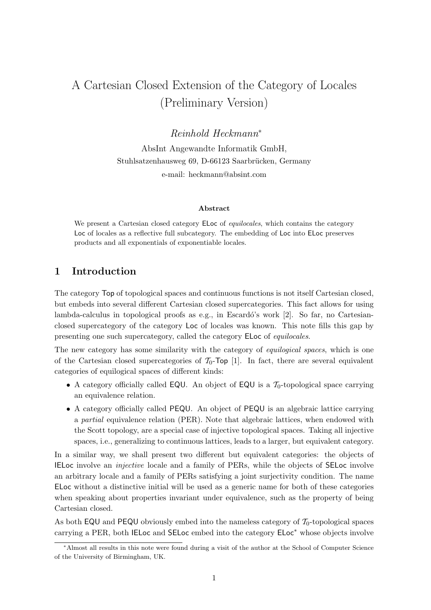# A Cartesian Closed Extension of the Category of Locales (Preliminary Version)

Reinhold Heckmann<sup>∗</sup>

AbsInt Angewandte Informatik GmbH, Stuhlsatzenhausweg 69, D-66123 Saarbrücken, Germany e-mail: heckmann@absint.com

#### Abstract

We present a Cartesian closed category ELoc of *equilocales*, which contains the category Loc of locales as a reflective full subcategory. The embedding of Loc into ELoc preserves products and all exponentials of exponentiable locales.

# 1 Introduction

The category Top of topological spaces and continuous functions is not itself Cartesian closed, but embeds into several different Cartesian closed supercategories. This fact allows for using lambda-calculus in topological proofs as e.g., in Escardó's work  $[2]$ . So far, no Cartesianclosed supercategory of the category Loc of locales was known. This note fills this gap by presenting one such supercategory, called the category ELoc of equilocales.

The new category has some similarity with the category of *equilogical spaces*, which is one of the Cartesian closed supercategories of  $T_0$ -Top [1]. In fact, there are several equivalent categories of equilogical spaces of different kinds:

- A category officially called EQU. An object of EQU is a  $\mathcal{T}_0$ -topological space carrying an equivalence relation.
- A category officially called PEQU. An object of PEQU is an algebraic lattice carrying a partial equivalence relation (PER). Note that algebraic lattices, when endowed with the Scott topology, are a special case of injective topological spaces. Taking all injective spaces, i.e., generalizing to continuous lattices, leads to a larger, but equivalent category.

In a similar way, we shall present two different but equivalent categories: the objects of IELoc involve an injective locale and a family of PERs, while the objects of SELoc involve an arbitrary locale and a family of PERs satisfying a joint surjectivity condition. The name ELoc without a distinctive initial will be used as a generic name for both of these categories when speaking about properties invariant under equivalence, such as the property of being Cartesian closed.

As both EQU and PEQU obviously embed into the nameless category of  $\mathcal{T}_0$ -topological spaces carrying a PER, both IELoc and SELoc embed into the category ELoc<sup>∗</sup> whose objects involve

<sup>∗</sup>Almost all results in this note were found during a visit of the author at the School of Computer Science of the University of Birmingham, UK.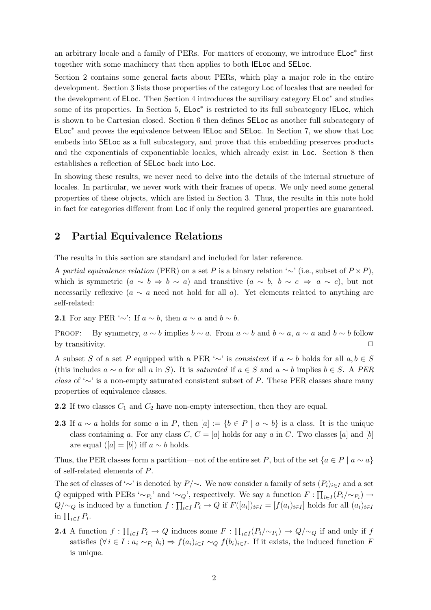an arbitrary locale and a family of PERs. For matters of economy, we introduce ELoc<sup>∗</sup> first together with some machinery that then applies to both IELoc and SELoc.

Section 2 contains some general facts about PERs, which play a major role in the entire development. Section 3 lists those properties of the category Loc of locales that are needed for the development of ELoc. Then Section 4 introduces the auxiliary category ELoc<sup>∗</sup> and studies some of its properties. In Section 5, ELoc<sup>\*</sup> is restricted to its full subcategory IELoc, which is shown to be Cartesian closed. Section 6 then defines SELoc as another full subcategory of ELoc<sup>∗</sup> and proves the equivalence between IELoc and SELoc. In Section 7, we show that Loc embeds into SELoc as a full subcategory, and prove that this embedding preserves products and the exponentials of exponentiable locales, which already exist in Loc. Section 8 then establishes a reflection of SELoc back into Loc.

In showing these results, we never need to delve into the details of the internal structure of locales. In particular, we never work with their frames of opens. We only need some general properties of these objects, which are listed in Section 3. Thus, the results in this note hold in fact for categories different from Loc if only the required general properties are guaranteed.

# 2 Partial Equivalence Relations

The results in this section are standard and included for later reference.

A partial equivalence relation (PER) on a set P is a binary relation '∼' (i.e., subset of  $P \times P$ ), which is symmetric  $(a \sim b \Rightarrow b \sim a)$  and transitive  $(a \sim b, b \sim c \Rightarrow a \sim c)$ , but not necessarily reflexive ( $a \sim a$  need not hold for all a). Yet elements related to anything are self-related:

2.1 For any PER '∼': If  $a \sim b$ , then  $a \sim a$  and  $b \sim b$ .

PROOF: By symmetry,  $a \sim b$  implies  $b \sim a$ . From  $a \sim b$  and  $b \sim a$ ,  $a \sim a$  and  $b \sim b$  follow by transitivity.  $\Box$ 

A subset S of a set P equipped with a PER ' $\sim$ ' is consistent if  $a \sim b$  holds for all  $a, b \in S$ (this includes  $a \sim a$  for all a in S). It is *saturated* if  $a \in S$  and  $a \sim b$  implies  $b \in S$ . A PER class of '∼' is a non-empty saturated consistent subset of P. These PER classes share many properties of equivalence classes.

- **2.2** If two classes  $C_1$  and  $C_2$  have non-empty intersection, then they are equal.
- 2.3 If  $a \sim a$  holds for some a in P, then  $[a] := \{b \in P \mid a \sim b\}$  is a class. It is the unique class containing a. For any class C,  $C = [a]$  holds for any a in C. Two classes [a] and [b] are equal ([a] = [b]) iff  $a \sim b$  holds.

Thus, the PER classes form a partition—not of the entire set P, but of the set  ${a \in P \mid a \sim a}$ of self-related elements of P.

The set of classes of '∼' is denoted by  $P/\sim$ . We now consider a family of sets  $(P_i)_{i\in I}$  and a set Q equipped with PERs ' $\sim_{P_i}$ ' and ' $\sim_Q$ ', respectively. We say a function  $F: \prod_{i \in I} (P_i/\sim_{P_i}) \to$  $Q/\sim_Q$  is induced by a function  $f: \prod_{i\in I} P_i \to Q$  if  $F([a_i])_{i\in I} = [f(a_i)_{i\in I}]$  holds for all  $(a_i)_{i\in I}$ in  $\prod_{i\in I} P_i$ .

**2.4** A function  $f: \prod_{i\in I} P_i \to Q$  induces some  $F: \prod_{i\in I} (P_i/\sim_{P_i}) \to Q/\sim_Q$  if and only if f satisfies  $(\forall i \in I : a_i \sim_{P_i} b_i) \Rightarrow f(a_i)_{i \in I} \sim_Q f(b_i)_{i \in I}$ . If it exists, the induced function F is unique.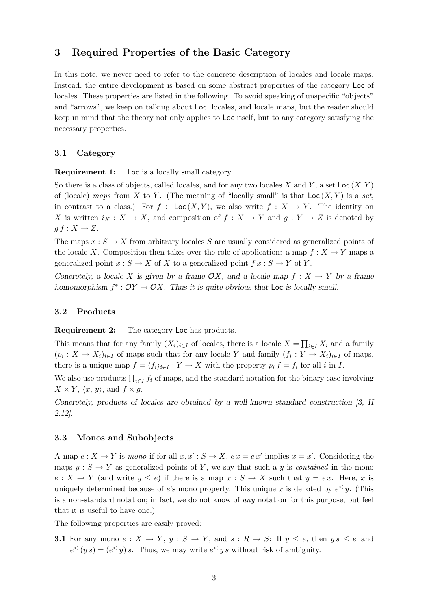# 3 Required Properties of the Basic Category

In this note, we never need to refer to the concrete description of locales and locale maps. Instead, the entire development is based on some abstract properties of the category Loc of locales. These properties are listed in the following. To avoid speaking of unspecific "objects" and "arrows", we keep on talking about Loc, locales, and locale maps, but the reader should keep in mind that the theory not only applies to Loc itself, but to any category satisfying the necessary properties.

#### 3.1 Category

Requirement 1: Loc is a locally small category.

So there is a class of objects, called locales, and for any two locales X and Y, a set  $Loc(X, Y)$ of (locale) maps from X to Y. (The meaning of "locally small" is that  $Loc(X, Y)$  is a set, in contrast to a class.) For  $f \in \text{Loc}(X, Y)$ , we also write  $f : X \to Y$ . The identity on X is written  $i_X : X \to X$ , and composition of  $f : X \to Y$  and  $g : Y \to Z$  is denoted by  $g f : X \to Z$ .

The maps  $x : S \to X$  from arbitrary locales S are usually considered as generalized points of the locale X. Composition then takes over the role of application: a map  $f: X \to Y$  maps a generalized point  $x : S \to X$  of X to a generalized point  $f x : S \to Y$  of Y.

Concretely, a locale X is given by a frame  $\mathcal{O}X$ , and a locale map  $f : X \to Y$  by a frame homomorphism  $f^* : OY \to OX$ . Thus it is quite obvious that Loc is locally small.

#### 3.2 Products

Requirement 2: The category Loc has products.

This means that for any family  $(X_i)_{i\in I}$  of locales, there is a locale  $X = \prod_{i\in I} X_i$  and a family  $(p_i: X \to X_i)_{i \in I}$  of maps such that for any locale Y and family  $(f_i: Y \to X_i)_{i \in I}$  of maps, there is a unique map  $f = \langle f_i \rangle_{i \in I} : Y \to X$  with the property  $p_i f = f_i$  for all i in I.

We also use products  $\prod_{i \in I} f_i$  of maps, and the standard notation for the binary case involving  $X \times Y$ ,  $\langle x, y \rangle$ , and  $f \times g$ .

Concretely, products of locales are obtained by a well-known standard construction [3, II 2.12].

#### 3.3 Monos and Subobjects

A map  $e: X \to Y$  is mono if for all  $x, x' : S \to X$ ,  $e x = e x'$  implies  $x = x'$ . Considering the maps  $y : S \to Y$  as generalized points of Y, we say that such a y is *contained* in the mono  $e: X \to Y$  (and write  $y \leq e$ ) if there is a map  $x: S \to X$  such that  $y = e x$ . Here, x is uniquely determined because of e's mono property. This unique x is denoted by  $e^{\langle x \rangle}$ . (This is a non-standard notation; in fact, we do not know of any notation for this purpose, but feel that it is useful to have one.)

The following properties are easily proved:

**3.1** For any mono  $e: X \to Y$ ,  $y: S \to Y$ , and  $s: R \to S$ : If  $y \leq e$ , then  $ys \leq e$  and  $e^{\langle y|g\rangle} = (e^{\langle y|g\rangle})s$ . Thus, we may write  $e^{\langle y|g\rangle}$  without risk of ambiguity.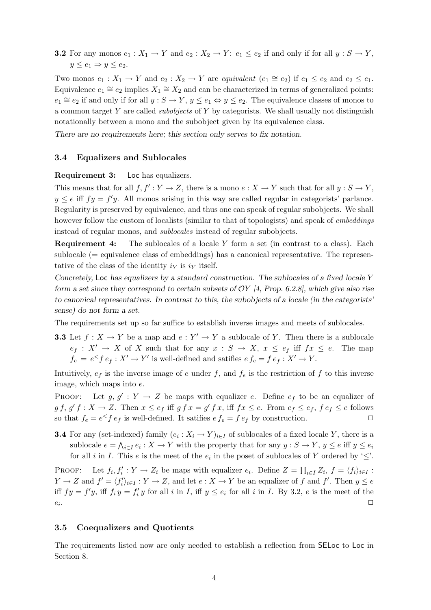**3.2** For any monos  $e_1 : X_1 \to Y$  and  $e_2 : X_2 \to Y$ :  $e_1 \le e_2$  if and only if for all  $y : S \to Y$ ,  $y \leq e_1 \Rightarrow y \leq e_2$ .

Two monos  $e_1: X_1 \to Y$  and  $e_2: X_2 \to Y$  are equivalent  $(e_1 \cong e_2)$  if  $e_1 \leq e_2$  and  $e_2 \leq e_1$ . Equivalence  $e_1 \cong e_2$  implies  $X_1 \cong X_2$  and can be characterized in terms of generalized points:  $e_1 \cong e_2$  if and only if for all  $y : S \to Y$ ,  $y \le e_1 \Leftrightarrow y \le e_2$ . The equivalence classes of monos to a common target Y are called *subobjects* of Y by categorists. We shall usually not distinguish notationally between a mono and the subobject given by its equivalence class.

There are no requirements here; this section only serves to fix notation.

#### 3.4 Equalizers and Sublocales

Requirement 3: Loc has equalizers.

This means that for all  $f, f': Y \to Z$ , there is a mono  $e: X \to Y$  such that for all  $y: S \to Y$ ,  $y \leq e$  iff  $fy = f'y$ . All monos arising in this way are called regular in categorists' parlance. Regularity is preserved by equivalence, and thus one can speak of regular subobjects. We shall however follow the custom of localists (similar to that of topologists) and speak of *embeddings* instead of regular monos, and sublocales instead of regular subobjects.

**Requirement 4:** The sublocales of a locale Y form a set (in contrast to a class). Each sublocale (= equivalence class of embeddings) has a canonical representative. The representative of the class of the identity  $i<sub>Y</sub>$  is  $i<sub>Y</sub>$  itself.

Concretely, Loc has equalizers by a standard construction. The sublocales of a fixed locale Y form a set since they correspond to certain subsets of  $OY$  [4, Prop. 6.2.8], which give also rise to canonical representatives. In contrast to this, the subobjects of a locale (in the categorists' sense) do not form a set.

The requirements set up so far suffice to establish inverse images and meets of sublocales.

**3.3** Let  $f: X \to Y$  be a map and  $e: Y' \to Y$  a sublocale of Y. Then there is a sublocale  $e_f: X' \to X$  of X such that for any  $x: S \to X$ ,  $x \leq e_f$  iff  $fx \leq e$ . The map  $f_e = e^{\langle \mathcal{L} \rangle} f e_f : X' \to Y'$  is well-defined and satifies  $e f_e = f e_f : X' \to Y$ .

Intuitively,  $e_f$  is the inverse image of e under f, and  $f_e$  is the restriction of f to this inverse image, which maps into e.

PROOF: Let  $g, g' : Y \to Z$  be maps with equalizer e. Define  $e_f$  to be an equalizer of  $g f, g' f : X \to Z$ . Then  $x \le e_f$  iff  $g f x = g' f x$ , iff  $f x \le e$ . From  $e_f \le e_f$ ,  $f e_f \le e$  follows so that  $f_e = e^{\langle \xi \rangle} f e_f$  is well-defined. It satifies  $e f_e = f e_f$  by construction.

**3.4** For any (set-indexed) family  $(e_i : X_i \to Y)_{i \in I}$  of sublocales of a fixed locale Y, there is a sublocale  $e = \bigwedge_{i \in I} e_i : X \to Y$  with the property that for any  $y : S \to Y$ ,  $y \le e$  iff  $y \le e_i$ for all *i* in *I*. This *e* is the meet of the  $e_i$  in the poset of sublocales of *Y* ordered by ' $\leq$ '.

PROOF: Let  $f_i, f'_i : Y \to Z_i$  be maps with equalizer  $e_i$ . Define  $Z = \prod_{i \in I} Z_i$ ,  $f = \langle f_i \rangle_{i \in I}$ :  $Y \to Z$  and  $f' = \langle f'_i \rangle_{i \in I} : Y \to Z$ , and let  $e : X \to Y$  be an equalizer of f and f'. Then  $y \le e$ iff  $fy = f'y$ , iff  $f_i y = f'_i y$  for all i in I, iff  $y \le e_i$  for all i in I. By 3.2, e is the meet of the  $e_i$ . . The contract of the contract of the contract of the contract of the contract of the contract of the contract of the contract of the contract of the contract of the contract of the contract of the contract of the contrac

#### 3.5 Coequalizers and Quotients

The requirements listed now are only needed to establish a reflection from SELoc to Loc in Section 8.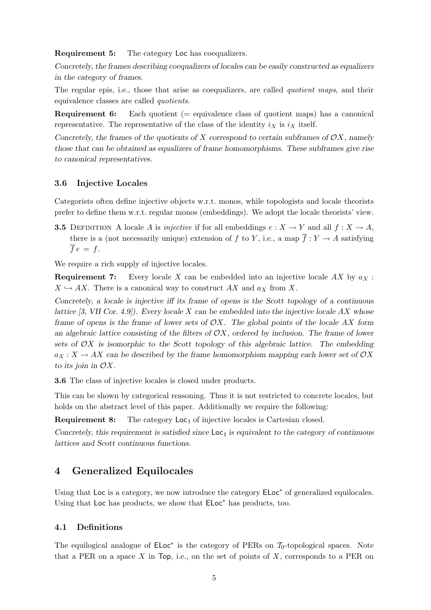Requirement 5: The category Loc has coequalizers.

Concretely, the frames describing coequalizers of locales can be easily constructed as equalizers in the category of frames.

The regular epis, i.e., those that arise as coequalizers, are called *quotient maps*, and their equivalence classes are called quotients.

**Requirement 6:** Each quotient  $(=$  equivalence class of quotient maps) has a canonical representative. The representative of the class of the identity  $i_X$  is  $i_X$  itself.

Concretely, the frames of the quotients of X correspond to certain subframes of  $\mathcal{O}X$ , namely those that can be obtained as equalizers of frame homomorphisms. These subframes give rise to canonical representatives.

#### 3.6 Injective Locales

Categorists often define injective objects w.r.t. monos, while topologists and locale theorists prefer to define them w.r.t. regular monos (embeddings). We adopt the locale theorists' view.

**3.5** DEFINITION A locale A is *injective* if for all embeddings  $e: X \to Y$  and all  $f: X \to A$ . there is a (not necessarily unique) extension of f to Y, i.e., a map  $\overline{f}: Y \to A$  satisfying  $\overline{f} e = f.$ 

We require a rich supply of injective locales.

**Requirement 7:** Every locale X can be embedded into an injective locale AX by  $a_X$ :  $X \hookrightarrow AX$ . There is a canonical way to construct AX and  $a_X$  from X.

Concretely, a locale is injective iff its frame of opens is the Scott topology of a continuous lattice  $[3, VII]$  Cor. 4.9]. Every locale X can be embedded into the injective locale AX whose frame of opens is the frame of lower sets of  $\mathcal{O}X$ . The global points of the locale AX form an algebraic lattice consisting of the filters of  $\mathcal{O}X$ , ordered by inclusion. The frame of lower sets of  $\mathcal{O}X$  is isomorphic to the Scott topology of this algebraic lattice. The embedding  $a_X : X \to AX$  can be described by the frame homomorphism mapping each lower set of  $\mathcal{O}X$ to its join in  $\mathcal{O}X$ .

3.6 The class of injective locales is closed under products.

This can be shown by categorical reasoning. Thus it is not restricted to concrete locales, but holds on the abstract level of this paper. Additionally we require the following:

**Requirement 8:** The category  $\text{Loc}_1$  of injective locales is Cartesian closed.

Concretely, this requirement is satisfied since  $\textsf{Loc}_1$  is equivalent to the category of continuous lattices and Scott continuous functions.

### 4 Generalized Equilocales

Using that Loc is a category, we now introduce the category  $ELoc^*$  of generalized equilocales. Using that Loc has products, we show that ELoc<sup>∗</sup> has products, too.

### 4.1 Definitions

The equilogical analogue of  $ELoc^*$  is the category of PERs on  $\mathcal{T}_0$ -topological spaces. Note that a PER on a space X in Top, i.e., on the set of points of  $X$ , corresponds to a PER on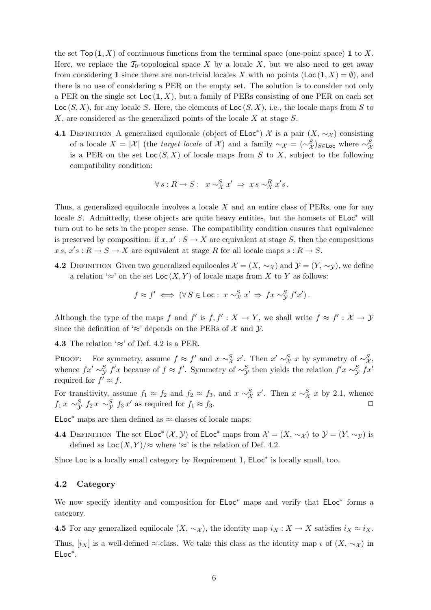the set  $Top(1, X)$  of continuous functions from the terminal space (one-point space) 1 to X. Here, we replace the  $\mathcal{T}_0$ -topological space X by a locale X, but we also need to get away from considering 1 since there are non-trivial locales X with no points  $(Loc (1, X) = \emptyset)$ , and there is no use of considering a PER on the empty set. The solution is to consider not only a PER on the single set  $Loc(1, X)$ , but a family of PERs consisting of one PER on each set  $Loc(S, X)$ , for any locale S. Here, the elements of  $Loc(S, X)$ , i.e., the locale maps from S to X, are considered as the generalized points of the locale X at stage S.

**4.1** DEFINITION A generalized equilocale (object of  $\mathsf{ELoc}^*$ )  $\mathcal X$  is a pair  $(X, \sim_{\mathcal X})$  consisting of a locale  $X = |\mathcal{X}|$  (the *target locale* of X) and a family  $\sim_{\mathcal{X}} = (\sim_{\mathcal{X}}^S)_{S \in \mathsf{Loc}}$  where  $\sim_{\mathcal{X}}^S$ is a PER on the set  $Loc(S, X)$  of locale maps from S to X, subject to the following compatibility condition:

$$
\forall s: R \to S: x \sim_{\mathcal{X}}^{S} x' \Rightarrow x s \sim_{\mathcal{X}}^{R} x' s.
$$

Thus, a generalized equilocale involves a locale X and an entire class of PERs, one for any locale S. Admittedly, these objects are quite heavy entities, but the homsets of  $ELoc^*$  will turn out to be sets in the proper sense. The compatibility condition ensures that equivalence is preserved by composition: if  $x, x' : S \to X$  are equivalent at stage S, then the compositions  $x s, x' s : R \to S \to X$  are equivalent at stage R for all locale maps  $s : R \to S$ .

4.2 DEFINITION Given two generalized equilocales  $\mathcal{X} = (X, \sim_{\mathcal{X}})$  and  $\mathcal{Y} = (Y, \sim_{\mathcal{Y}})$ , we define a relation '≈' on the set  $Loc(X, Y)$  of locale maps from X to Y as follows:

$$
f \approx f' \iff (\forall S \in \text{Loc}: x \sim_{\mathcal{X}}^S x' \Rightarrow fx \sim_{\mathcal{Y}}^S f'x').
$$

Although the type of the maps f and f' is  $f, f' : X \to Y$ , we shall write  $f \approx f' : X \to Y$ since the definition of '≈' depends on the PERs of  $\mathcal X$  and  $\mathcal Y$ .

4.3 The relation  $\approx$  of Def. 4.2 is a PER.

PROOF: For symmetry, assume  $f \approx f'$  and  $x \sim_X^S x'$ . Then  $x' \sim_X^S x$  by symmetry of  $\sim_X^S$ , whence  $fx' \sim^S_y f'x$  because of  $f \approx f'$ . Symmetry of  $\sim^S_y$  then yields the relation  $f'x \sim^S_y f x'$ required for  $f' \approx f$ .

For transitivity, assume  $f_1 \approx f_2$  and  $f_2 \approx f_3$ , and  $x \sim_{\mathcal{X}}^S x'$ . Then  $x \sim_{\mathcal{X}}^S x$  by 2.1, whence  $f_1 x \sim \frac{S}{\mathcal{Y}} f_2 x \sim \frac{S}{\mathcal{Y}} f_3 x'$  as required for  $f_1 \approx f_3$ .

ELoc<sup>\*</sup> maps are then defined as  $\approx$ -classes of locale maps:

**4.4** DEFINITION The set  $\mathsf{ELoc}^*(X, Y)$  of  $\mathsf{ELoc}^*$  maps from  $\mathcal{X} = (X, \sim_{\mathcal{X}})$  to  $\mathcal{Y} = (Y, \sim_{\mathcal{Y}})$  is defined as  $\text{Loc}(X, Y)/\approx$  where ' $\approx$ ' is the relation of Def. 4.2.

Since Loc is a locally small category by Requirement 1,  $ELoc^*$  is locally small, too.

#### 4.2 Category

We now specify identity and composition for  $ELoc^*$  maps and verify that  $ELoc^*$  forms a category.

4.5 For any generalized equilocale  $(X, \sim_{\mathcal{X}})$ , the identity map  $i_X : X \to X$  satisfies  $i_X \approx i_X$ .

Thus,  $[i_X]$  is a well-defined ≈-class. We take this class as the identity map  $\iota$  of  $(X, \sim_{\mathcal{X}})$  in ELoc<sup>∗</sup> .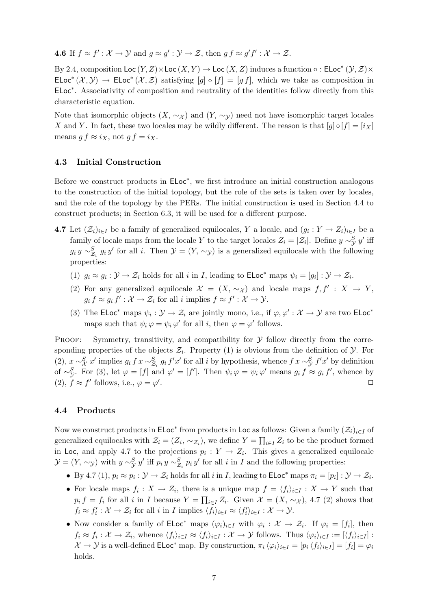**4.6** If  $f \approx f' : \mathcal{X} \to \mathcal{Y}$  and  $g \approx g' : \mathcal{Y} \to \mathcal{Z}$ , then  $gf \approx g'f' : \mathcal{X} \to \mathcal{Z}$ .

By 2.4, composition  $\textsf{Loc}\,(Y,Z)\times\textsf{Loc}\,(X,Y)\to\textsf{Loc}\,(X,Z)$  induces a function  $\circ$  :  $\textsf{ELoc}^*(Y,\mathcal{Z})\times$ ELoc<sup>\*</sup>  $(\mathcal{X}, \mathcal{Y}) \to$  ELoc<sup>\*</sup>  $(\mathcal{X}, \mathcal{Z})$  satisfying  $[g] \circ [f] = [gf]$ , which we take as composition in ELoc<sup>∗</sup> . Associativity of composition and neutrality of the identities follow directly from this characteristic equation.

Note that isomorphic objects  $(X, \sim_X)$  and  $(Y, \sim_Y)$  need not have isomorphic target locales X and Y. In fact, these two locales may be wildly different. The reason is that  $[g] \circ [f] = [i_X]$ means  $g f \approx i_X$ , not  $g f = i_X$ .

#### 4.3 Initial Construction

Before we construct products in  $ELoc^*$ , we first introduce an initial construction analogous to the construction of the initial topology, but the role of the sets is taken over by locales, and the role of the topology by the PERs. The initial construction is used in Section 4.4 to construct products; in Section 6.3, it will be used for a different purpose.

- **4.7** Let  $(\mathcal{Z}_i)_{i\in I}$  be a family of generalized equilocales, Y a locale, and  $(g_i: Y \to Z_i)_{i\in I}$  be a family of locale maps from the locale Y to the target locales  $Z_i = |\mathcal{Z}_i|$ . Define  $y \sim^S_{\mathcal{Y}} y'$  iff  $g_i y \sim_{\mathcal{Z}_i}^S g_i y'$  for all i. Then  $\mathcal{Y} = (Y, \sim_{\mathcal{Y}})$  is a generalized equilocale with the following properties:
	- (1)  $g_i \approx g_i : \mathcal{Y} \to \mathcal{Z}_i$  holds for all i in I, leading to  $\mathsf{ELoc}^*$  maps  $\psi_i = [g_i] : \mathcal{Y} \to \mathcal{Z}_i$ .
	- (2) For any generalized equilocale  $\mathcal{X} = (X, \sim_{\mathcal{X}})$  and locale maps  $f, f' : X \to Y$ ,  $g_i f \approx g_i f' : \mathcal{X} \to \mathcal{Z}_i$  for all i implies  $f \approx f' : \mathcal{X} \to \mathcal{Y}$ .
	- (3) The ELoc<sup>\*</sup> maps  $\psi_i : \mathcal{Y} \to \mathcal{Z}_i$  are jointly mono, i.e., if  $\varphi, \varphi' : \mathcal{X} \to \mathcal{Y}$  are two ELoc<sup>\*</sup> maps such that  $\psi_i \varphi = \psi_i \varphi'$  for all *i*, then  $\varphi = \varphi'$  follows.

PROOF: Symmetry, transitivity, and compatibility for  $\mathcal Y$  follow directly from the corresponding properties of the objects  $\mathcal{Z}_i$ . Property (1) is obvious from the definition of  $\mathcal{Y}$ . For (2),  $x \sim_X^S x'$  implies  $g_i f x \sim_{\mathcal{Z}_i}^S g_i f' x'$  for all i by hypothesis, whence  $f x \sim_Y^S f' x'$  by definition of  $\sim_{\mathcal{Y}}^S$ . For (3), let  $\varphi = [f]$  and  $\varphi' = [f']$ . Then  $\psi_i \varphi = \psi_i \varphi'$  means  $g_i f \approx g_i f'$ , whence by (2),  $f \approx f'$  follows, i.e.,  $\varphi = \varphi'$ . The contract of the contract of the contract of the contract of the contract of the contract of the contract of the contract of the contract of the contract of the contract of the contract of the contract of the contrac

#### 4.4 Products

Now we construct products in  $\mathsf{ELoc}^*$  from products in Loc as follows: Given a family  $(\mathcal{Z}_i)_{i\in I}$  of generalized equilocales with  $\mathcal{Z}_i = (Z_i, \sim_{\mathcal{Z}_i})$ , we define  $Y = \prod_{i \in I} Z_i$  to be the product formed in Loc, and apply 4.7 to the projections  $p_i: Y \to Z_i$ . This gives a generalized equilocale  $\mathcal{Y} = (Y, \sim_{\mathcal{Y}})$  with  $y \sim_{\mathcal{Y}}^S y'$  iff  $p_i y \sim_{\mathcal{Z}_i}^S p_i y'$  for all i in I and the following properties:

- By 4.7 (1),  $p_i \approx p_i : \mathcal{Y} \to \mathcal{Z}_i$  holds for all i in I, leading to  $\mathsf{ELoc}^*$  maps  $\pi_i = [p_i] : \mathcal{Y} \to \mathcal{Z}_i$ .
- For locale maps  $f_i: X \to Z_i$ , there is a unique map  $f = \langle f_i \rangle_{i \in I} : X \to Y$  such that  $p_i f = f_i$  for all i in I because  $Y = \prod_{i \in I} Z_i$ . Given  $\mathcal{X} = (X, \sim_{\mathcal{X}})$ , 4.7 (2) shows that  $f_i \approx f'_i : \mathcal{X} \to \mathcal{Z}_i$  for all i in I implies  $\langle f_i \rangle_{i \in I} \approx \langle f'_i \rangle_{i \in I} : \mathcal{X} \to \mathcal{Y}$ .
- Now consider a family of  $\mathsf{ELoc}^*$  maps  $(\varphi_i)_{i\in I}$  with  $\varphi_i : \mathcal{X} \to \mathcal{Z}_i$ . If  $\varphi_i = [f_i]$ , then  $f_i \approx f_i : \mathcal{X} \to \mathcal{Z}_i$ , whence  $\langle f_i \rangle_{i \in I} \approx \langle f_i \rangle_{i \in I} : \mathcal{X} \to \mathcal{Y}$  follows. Thus  $\langle \varphi_i \rangle_{i \in I} := [\langle f_i \rangle_{i \in I}] :$  $\mathcal{X} \to \mathcal{Y}$  is a well-defined **ELoc**<sup>\*</sup> map. By construction,  $\pi_i \langle \varphi_i \rangle_{i \in I} = [p_i \langle f_i \rangle_{i \in I}] = [f_i] = \varphi_i$ holds.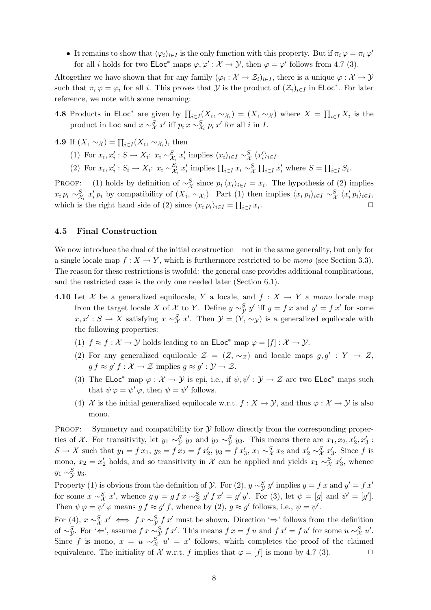• It remains to show that  $\langle \varphi_i \rangle_{i \in I}$  is the only function with this property. But if  $\pi_i \varphi = \pi_i \varphi'$ for all *i* holds for two  $\mathsf{ELoc}^*$  maps  $\varphi, \varphi': \mathcal{X} \to \mathcal{Y}$ , then  $\varphi = \varphi'$  follows from 4.7 (3).

Altogether we have shown that for any family  $(\varphi_i: \mathcal{X} \to \mathcal{Z}_i)_{i \in I}$ , there is a unique  $\varphi: \mathcal{X} \to \mathcal{Y}$ such that  $\pi_i \varphi = \varphi_i$  for all i. This proves that  $\mathcal Y$  is the product of  $(\mathcal Z_i)_{i \in I}$  in ELoc<sup>\*</sup>. For later reference, we note with some renaming:

**4.8** Products in ELoc<sup>\*</sup> are given by  $\prod_{i\in I}(X_i, \sim_{\mathcal{X}_i}) = (X, \sim_{\mathcal{X}})$  where  $X = \prod_{i\in I} X_i$  is the product in Loc and  $x \sim_X^S x'$  iff  $p_i x \sim_{\mathcal{X}_i}^S p_i x'$  for all i in I.

4.9 If  $(X, \sim_{\mathcal{X}}) = \prod_{i \in I} (X_i, \sim_{\mathcal{X}_i})$ , then

- (1) For  $x_i, x'_i : S \to X_i: x_i \sim_{\mathcal{X}_i}^S x'_i$  implies  $\langle x_i \rangle_{i \in I} \sim_{\mathcal{X}}^S \langle x'_i \rangle_{i \in I}$ .
- (2) For  $x_i, x'_i : S_i \to X_i : x_i \sim_{\mathcal{X}_i}^{S_i}$  $S_i$   $x'_i$  implies  $\prod_{i \in I} x_i \sim_X^S \prod_{i \in I} x'_i$  where  $S = \prod_{i \in I} S_i$ .

PROOF: (1) holds by definition of  $\sim_{\mathcal{X}}^S$  since  $p_i \langle x_i \rangle_{i \in I} = x_i$ . The hypothesis of (2) implies  $x_i p_i \sim_{\mathcal{X}_i}^S x'_i p_i$  by compatibility of  $(X_i, \sim_{\mathcal{X}_i})$ . Part (1) then implies  $\langle x_i p_i \rangle_{i \in I} \sim_{\mathcal{X}}^S \langle x'_i p_i \rangle_{i \in I}$ , which is the right hand side of (2) since  $\langle x_i p_i \rangle_{i \in I} = \prod_{i \in I} x_i$ .  $\Box$ 

#### 4.5 Final Construction

We now introduce the dual of the initial construction—not in the same generality, but only for a single locale map  $f: X \to Y$ , which is furthermore restricted to be mono (see Section 3.3). The reason for these restrictions is twofold: the general case provides additional complications, and the restricted case is the only one needed later (Section 6.1).

- 4.10 Let X be a generalized equilocale, Y a locale, and  $f: X \to Y$  a mono locale map from the target locale X of X to Y. Define  $y \sim^S_y y'$  iff  $y = fx$  and  $y' = fx'$  for some  $x, x' : S \to X$  satisfying  $x \sim_X^S x'$ . Then  $\mathcal{Y} = (Y, \sim_{\mathcal{Y}})$  is a generalized equilocale with the following properties:
	- (1)  $f \approx f : \mathcal{X} \to \mathcal{Y}$  holds leading to an  $\mathsf{ELoc}^*$  map  $\varphi = [f] : \mathcal{X} \to \mathcal{Y}$ .
	- (2) For any generalized equilocale  $\mathcal{Z} = (Z, \sim_{\mathcal{Z}})$  and locale maps  $g, g' : Y \to Z$ ,  $g f \approx g' f : \mathcal{X} \to \mathcal{Z}$  implies  $g \approx g' : \mathcal{Y} \to \mathcal{Z}$ .
	- (3) The ELoc<sup>\*</sup> map  $\varphi : \mathcal{X} \to \mathcal{Y}$  is epi, i.e., if  $\psi, \psi' : \mathcal{Y} \to \mathcal{Z}$  are two ELoc<sup>\*</sup> maps such that  $\psi \varphi = \psi' \varphi$ , then  $\psi = \psi'$  follows.
	- (4) X is the initial generalized equilocale w.r.t.  $f: X \to Y$ , and thus  $\varphi: X \to Y$  is also mono.

PROOF: Symmetry and compatibility for  $\mathcal Y$  follow directly from the corresponding properties of X. For transitivity, let  $y_1 \sim_y^S y_2$  and  $y_2 \sim_y^S y_3$ . This means there are  $x_1, x_2, x'_2, x'_3$ :  $S \to X$  such that  $y_1 = fx_1$ ,  $y_2 = fx_2 = fx_2'$ ,  $y_3 = fx_3'$ ,  $x_1 \sim_X^S x_2$  and  $x_2' \sim_X^S x_3'$ . Since f is mono,  $x_2 = x'_2$  holds, and so transitivity in X can be applied and yields  $x_1 \sim^S_X x'_3$ , whence  $y_1 \sim^S_{\mathcal{Y}} y_3.$ 

Property (1) is obvious from the definition of  $\mathcal Y$ . For (2),  $y \sim^S_{\mathcal Y} y'$  implies  $y = f x$  and  $y' = f x'$ for some  $x \sim_{\mathcal{X}}^S x'$ , whence  $gy = g f x \sim_{\mathcal{Z}}^S g' f x' = g' y'$ . For (3), let  $\psi = [g]$  and  $\psi' = [g']$ . Then  $\psi \varphi = \psi' \varphi$  means  $gf \approx g' f$ , whence by (2),  $g \approx g'$  follows, i.e.,  $\psi = \psi'$ .

For (4),  $x \sim_X^S x' \iff fx \sim_Y^S fx'$  must be shown. Direction '⇒' follows from the definition of ∼ $\mathcal{S}_y$ . For ' $\Leftarrow$ ', assume  $f x \sim \mathcal{S}_y f x'$ . This means  $f x = f u$  and  $f x' = f u'$  for some  $u \sim^S_{\mathcal{X}} u'$ . Since f is mono,  $x = u \sim_X^S u' = x'$  follows, which completes the proof of the claimed equivalence. The initiality of  $\mathcal X$  w.r.t. f implies that  $\varphi = [f]$  is mono by 4.7 (3).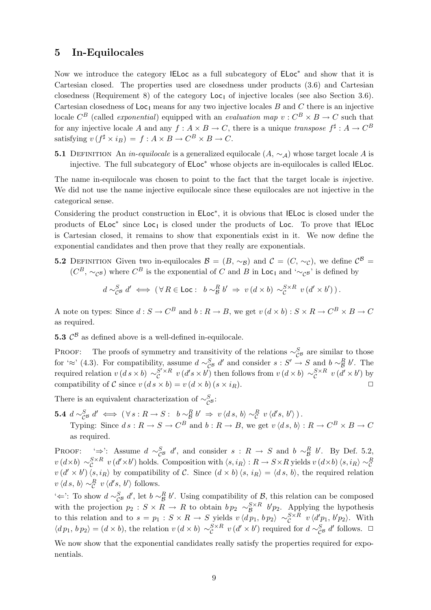# 5 In-Equilocales

Now we introduce the category IELoc as a full subcategory of ELoc<sup>\*</sup> and show that it is Cartesian closed. The properties used are closedness under products (3.6) and Cartesian closedness (Requirement 8) of the category  $\text{Loc}_1$  of injective locales (see also Section 3.6). Cartesian closedness of  $\text{Loc}_1$  means for any two injective locales B and C there is an injective locale  $C^B$  (called *exponential*) equipped with an *evaluation map*  $v : C^B \times B \to C$  such that for any injective locale A and any  $f: A \times B \to C$ , there is a unique transpose  $f^{\sharp}: A \to C^{B}$ satisfying  $v(f^{\sharp} \times i_B) = f : A \times B \to C^B \times B \to C$ .

**5.1** DEFINITION An *in-equilocale* is a generalized equilocale  $(A, \sim_A)$  whose target locale A is injective. The full subcategory of ELoc<sup>∗</sup> whose objects are in-equilocales is called IELoc.

The name in-equilocale was chosen to point to the fact that the target locale is injective. We did not use the name injective equilocale since these equilocales are not injective in the categorical sense.

Considering the product construction in ELoc<sup>\*</sup>, it is obvious that IELoc is closed under the products of ELoc<sup>\*</sup> since Loc<sub>1</sub> is closed under the products of Loc. To prove that IELoc is Cartesian closed, it remains to show that exponentials exist in it. We now define the exponential candidates and then prove that they really are exponentials.

**5.2** DEFINITION Given two in-equilocales  $\mathcal{B} = (B, \sim_B)$  and  $\mathcal{C} = (C, \sim_C)$ , we define  $\mathcal{C}^B =$  $(C^B, \sim_{\mathcal{C}^B} )$  where  $C^B$  is the exponential of C and B in Loc<sub>1</sub> and ' $\sim_{\mathcal{C}^B}$ ' is defined by

$$
d \sim_{\mathcal{C}^{\mathcal{B}}}^{\mathcal{S}} d' \iff (\forall R \in \mathsf{Loc}: \ b \sim_{\mathcal{B}}^R b' \Rightarrow v (d \times b) \sim_{\mathcal{C}}^{S \times R} v (d' \times b')).
$$

A note on types: Since  $d: S \to C^B$  and  $b: R \to B$ , we get  $v(d \times b): S \times R \to C^B \times B \to C$ as required.

**5.3**  $\mathcal{C}^{\beta}$  as defined above is a well-defined in-equilocale.

PROOF: The proofs of symmetry and transitivity of the relations  $\sim_{\mathcal{C}^{\mathcal{B}}}^S$  are similar to those for  $\approx$  (4.3). For compatibility, assume  $d \sim_{\mathcal{C}^{\mathcal{B}}}^{\mathcal{S}} d'$  and consider  $s : S' \to S$  and  $b \sim_{\mathcal{B}}^R b'$ . The required relation  $v(d s \times b) \sim_c^{S' \times R} v(d' s \times b')$  then follows from  $v(d \times b) \sim_c^{S \times R} v(d' \times b')$  by compatibility of C since  $v (ds \times b) = v (d \times b) (s \times i_R)$ .

There is an equivalent characterization of  $\sim_{\mathcal{C}^{\mathcal{B}}}^{\mathcal{S}}$ :

5.4  $d \sim_{\mathcal{C}^{\mathcal{B}}}^{\mathcal{S}} d' \iff (\forall s : R \to S : b \sim_{\mathcal{B}}^R b' \Rightarrow v \langle ds, b \rangle \sim_{\mathcal{C}}^R v \langle d's, b' \rangle).$ Typing: Since  $ds: R \to S \to C^B$  and  $b: R \to B$ , we get  $v \langle ds, b \rangle : R \to C^B \times B \to C$ as required.

PROOF:  $\stackrel{\leftarrow}{\Rightarrow}$ : Assume  $d \sim_{\mathcal{C}^{\mathcal{B}}}^{\mathcal{S}} d'$ , and consider  $s : R \to S$  and  $b \sim_{\mathcal{B}}^R b'$ . By Def. 5.2,  $v(d\times b) \sim_{\mathcal{C}}^{S\times R} v(d'\times b')$  holds. Composition with  $\langle s, i_R\rangle : R \to S \times R$  yields  $v(d\times b) \langle s, i_R\rangle \sim_{\mathcal{C}}^R R$  $v(d' \times b') \langle s, i_R \rangle$  by compatibility of C. Since  $(d \times b) \langle s, i_R \rangle = \langle ds, b \rangle$ , the required relation  $v \langle ds, b \rangle \sim_{\mathcal{C}}^R v \langle d's, b' \rangle$  follows.

'∈': To show  $d \sim_{\mathcal{C}^{\mathcal{B}}}^{\mathcal{S}} d'$ , let  $b \sim_{\mathcal{B}}^R b'$ . Using compatibility of  $\mathcal{B}$ , this relation can be composed with the projection  $p_2$ :  $S \times R \to R$  to obtain  $bp_2 \sim_B^{S \times R} b'p_2$ . Applying the hypothesis to this relation and to  $s = p_1 : S \times R \to S$  yields  $v \langle dp_1, bp_2 \rangle \sim_{\mathcal{C}}^{S \times R} v \langle d'p_1, b'p_2 \rangle$ . With  $\langle dp_1, bp_2 \rangle = (d \times b)$ , the relation  $v(d \times b) \sim_c^{S \times R} v(d' \times b')$  required for  $d \sim_{C^B}^{S} d'$  follows.  $\Box$ 

We now show that the exponential candidates really satisfy the properties required for exponentials.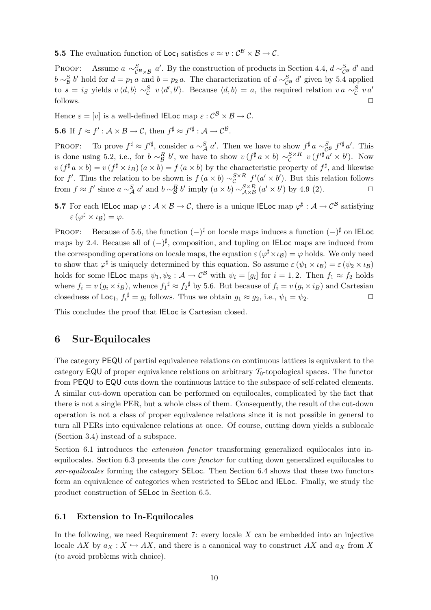**5.5** The evaluation function of  $\text{Loc}_1$  satisfies  $v \approx v : C^{\mathcal{B}} \times \mathcal{B} \to C$ .

PROOF: Assume  $a \sim_{\mathcal{C}^{\mathcal{B}} \times \mathcal{B}}^S a'$ . By the construction of products in Section 4.4,  $d \sim_{\mathcal{C}^{\mathcal{B}}}^S d'$  and  $b \sim_B^S b'$  hold for  $d = p_1 a$  and  $b = p_2 a$ . The characterization of  $d \sim_{\mathcal{C}^S}^S d'$  given by 5.4 applied to  $s = i_S$  yields  $v \langle d, b \rangle \sim_C^S v \langle d', b' \rangle$ . Because  $\langle d, b \rangle = a$ , the required relation  $v a \sim_C^S v a'$  $\Box$  follows.  $\Box$ 

Hence  $\varepsilon = [v]$  is a well-defined IELoc map  $\varepsilon : \mathcal{C}^{\mathcal{B}} \times \mathcal{B} \to \mathcal{C}$ .

**5.6** If 
$$
f \approx f' : \mathcal{A} \times \mathcal{B} \to \mathcal{C}
$$
, then  $f^{\sharp} \approx f'^{\sharp} : \mathcal{A} \to \mathcal{C}^{\mathcal{B}}$ .

PROOF: To prove  $f^{\sharp} \approx f'^{\sharp}$ , consider  $a \sim_A^S a'$ . Then we have to show  $f^{\sharp} a \sim_{\mathcal{C}^S}^S f'^{\sharp} a'$ . This is done using 5.2, i.e., for  $b \sim_B^R b'$ , we have to show  $v(f^{\sharp} a \times b) \sim_C^{S \times R} v(f'^{\sharp} a' \times b')$ . Now  $v(f^{\sharp} a \times b) = v(f^{\sharp} \times i_B) (a \times b) = f(a \times b)$  by the characteristic property of  $f^{\sharp}$ , and likewise for f'. Thus the relation to be shown is  $f(a \times b) \sim_{\mathcal{C}}^{S \times R} f'(a' \times b')$ . But this relation follows from  $f \approx f'$  since  $a \sim_A^S a'$  and  $b \sim_B^R b'$  imply  $(a \times b) \sim_{A \times B}^{S \times R} (a' \times b')$  by 4.9 (2).

**5.7** For each IELoc map  $\varphi : \mathcal{A} \times \mathcal{B} \to \mathcal{C}$ , there is a unique IELoc map  $\varphi^{\sharp} : \mathcal{A} \to \mathcal{C}^{\mathcal{B}}$  satisfying  $\varepsilon$   $(\varphi^{\sharp} \times \iota_{\mathcal{B}}) = \varphi$ .

PROOF: Because of 5.6, the function  $(-)^{\sharp}$  on locale maps induces a function  $(-)^{\sharp}$  on IELoc maps by 2.4. Because all of  $(-)^{\sharp}$ , composition, and tupling on IELoc maps are induced from the corresponding operations on locale maps, the equation  $\varepsilon (\varphi^{\sharp} \times \iota_B) = \varphi$  holds. We only need to show that  $\varphi^{\sharp}$  is uniquely determined by this equation. So assume  $\varepsilon (\psi_1 \times \iota_B) = \varepsilon (\psi_2 \times \iota_B)$ holds for some IELoc maps  $\psi_1, \psi_2: \mathcal{A} \to \mathcal{C}^{\mathcal{B}}$  with  $\psi_i = [g_i]$  for  $i = 1, 2$ . Then  $f_1 \approx f_2$  holds where  $f_i = v(g_i \times i_B)$ , whence  $f_1^{\sharp} \approx f_2^{\sharp}$  by 5.6. But because of  $f_i = v(g_i \times i_B)$  and Cartesian closedness of  $\text{Loc}_1, f_i^{\sharp} = g_i$  follows. Thus we obtain  $g_1 \approx g_2$ , i.e.,  $\psi_1 = \psi_2$ .

This concludes the proof that IELoc is Cartesian closed.

### 6 Sur-Equilocales

The category PEQU of partial equivalence relations on continuous lattices is equivalent to the category EQU of proper equivalence relations on arbitrary  $\mathcal{T}_0$ -topological spaces. The functor from PEQU to EQU cuts down the continuous lattice to the subspace of self-related elements. A similar cut-down operation can be performed on equilocales, complicated by the fact that there is not a single PER, but a whole class of them. Consequently, the result of the cut-down operation is not a class of proper equivalence relations since it is not possible in general to turn all PERs into equivalence relations at once. Of course, cutting down yields a sublocale (Section 3.4) instead of a subspace.

Section 6.1 introduces the *extension functor* transforming generalized equilocales into inequilocales. Section 6.3 presents the core functor for cutting down generalized equilocales to sur-equilocales forming the category SELoc. Then Section 6.4 shows that these two functors form an equivalence of categories when restricted to SELoc and IELoc. Finally, we study the product construction of SELoc in Section 6.5.

#### 6.1 Extension to In-Equilocales

In the following, we need Requirement 7: every locale  $X$  can be embedded into an injective locale AX by  $a_X : X \hookrightarrow AX$ , and there is a canonical way to construct AX and  $a_X$  from X (to avoid problems with choice).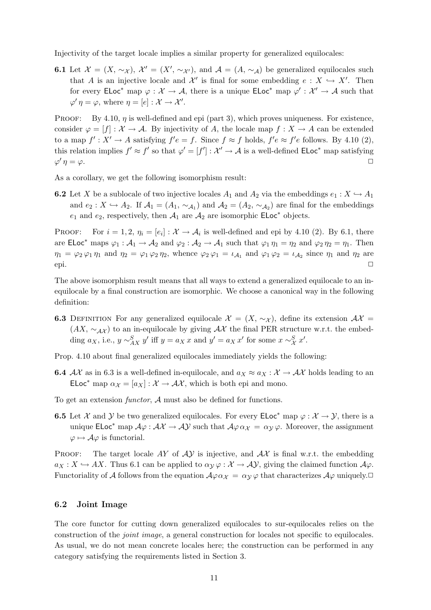Injectivity of the target locale implies a similar property for generalized equilocales:

**6.1** Let  $\mathcal{X} = (X, \sim_{\mathcal{X}}), \mathcal{X}' = (X', \sim_{\mathcal{X}'})$ , and  $\mathcal{A} = (A, \sim_{\mathcal{A}})$  be generalized equilocales such that A is an injective locale and  $\mathcal{X}'$  is final for some embedding  $e : X \hookrightarrow X'$ . Then for every  $\mathsf{ELoc}^*$  map  $\varphi : \mathcal{X} \to \mathcal{A}$ , there is a unique  $\mathsf{ELoc}^*$  map  $\varphi' : \mathcal{X}' \to \mathcal{A}$  such that  $\varphi' \eta = \varphi$ , where  $\eta = [e] : \mathcal{X} \to \mathcal{X}'$ .

PROOF: By 4.10,  $\eta$  is well-defined and epi (part 3), which proves uniqueness. For existence, consider  $\varphi = [f] : \mathcal{X} \to \mathcal{A}$ . By injectivity of A, the locale map  $f : X \to A$  can be extended to a map  $f' : X' \to A$  satisfying  $f'e = f$ . Since  $f \approx f$  holds,  $f'e \approx f'e$  follows. By 4.10 (2), this relation implies  $f' \approx f'$  so that  $\varphi' = [f'] : \mathcal{X}' \to \mathcal{A}$  is a well-defined  $\mathsf{ELoc}^*$  map satisfying  $\varphi' \eta = \varphi$ .  $\eta = \varphi.$ 

As a corollary, we get the following isomorphism result:

**6.2** Let X be a sublocale of two injective locales  $A_1$  and  $A_2$  via the embeddings  $e_1 : X \hookrightarrow A_1$ and  $e_2: X \hookrightarrow A_2$ . If  $\mathcal{A}_1 = (A_1, \sim_{\mathcal{A}_1})$  and  $\mathcal{A}_2 = (A_2, \sim_{\mathcal{A}_2})$  are final for the embeddings  $e_1$  and  $e_2$ , respectively, then  $\mathcal{A}_1$  are  $\mathcal{A}_2$  are isomorphic  $\mathsf{ELoc}^*$  objects.

PROOF: For  $i = 1, 2, \eta_i = [e_i] : \mathcal{X} \to \mathcal{A}_i$  is well-defined and epi by 4.10 (2). By 6.1, there are ELoc<sup>\*</sup> maps  $\varphi_1 : A_1 \to A_2$  and  $\varphi_2 : A_2 \to A_1$  such that  $\varphi_1 \eta_1 = \eta_2$  and  $\varphi_2 \eta_2 = \eta_1$ . Then  $\eta_1 = \varphi_2 \varphi_1 \eta_1$  and  $\eta_2 = \varphi_1 \varphi_2 \eta_2$ , whence  $\varphi_2 \varphi_1 = \iota_{\mathcal{A}_1}$  and  $\varphi_1 \varphi_2 = \iota_{\mathcal{A}_2}$  since  $\eta_1$  and  $\eta_2$  are epi.  $\Box$ 

The above isomorphism result means that all ways to extend a generalized equilocale to an inequilocale by a final construction are isomorphic. We choose a canonical way in the following definition:

6.3 DEFINITION For any generalized equilocale  $\mathcal{X} = (X, \sim_{\mathcal{X}})$ , define its extension  $\mathcal{A}\mathcal{X} =$  $(AX, \sim_{\mathcal{A}X})$  to an in-equilocale by giving  $\mathcal{A}X$  the final PER structure w.r.t. the embedding  $a_X$ , i.e.,  $y \sim_{AX}^S y'$  iff  $y = a_X x$  and  $y' = a_X x'$  for some  $x \sim_X^S x'$ .

Prop. 4.10 about final generalized equilocales immediately yields the following:

**6.4** AX as in 6.3 is a well-defined in-equilocale, and  $a_X \approx a_X : X \to AX$  holds leading to an ELoc<sup>\*</sup> map  $\alpha_{\chi} = [a_{\chi}] : \mathcal{X} \to \mathcal{AX}$ , which is both epi and mono.

To get an extension functor, A must also be defined for functions.

**6.5** Let X and Y be two generalized equilocales. For every  $\mathsf{ELoc}^*$  map  $\varphi : \mathcal{X} \to \mathcal{Y}$ , there is a unique ELoc<sup>\*</sup> map  $A\varphi : A\mathcal{X} \to A\mathcal{Y}$  such that  $A\varphi \alpha_{\mathcal{X}} = \alpha_{\mathcal{Y}}\varphi$ . Moreover, the assignment  $\varphi \mapsto \mathcal{A}\varphi$  is functorial.

**PROOF:** The target locale AY of  $\mathcal{AY}$  is injective, and  $\mathcal{AX}$  is final w.r.t. the embedding  $a_X : X \hookrightarrow AX$ . Thus 6.1 can be applied to  $\alpha_Y \varphi : X \to \mathcal{AY}$ , giving the claimed function  $\mathcal{A}\varphi$ . Functoriality of A follows from the equation  $\mathcal{A}\varphi \alpha_{\mathcal{X}} = \alpha_{\mathcal{Y}}\varphi$  that characterizes  $\mathcal{A}\varphi$  uniquely.

#### 6.2 Joint Image

The core functor for cutting down generalized equilocales to sur-equilocales relies on the construction of the joint image, a general construction for locales not specific to equilocales. As usual, we do not mean concrete locales here; the construction can be performed in any category satisfying the requirements listed in Section 3.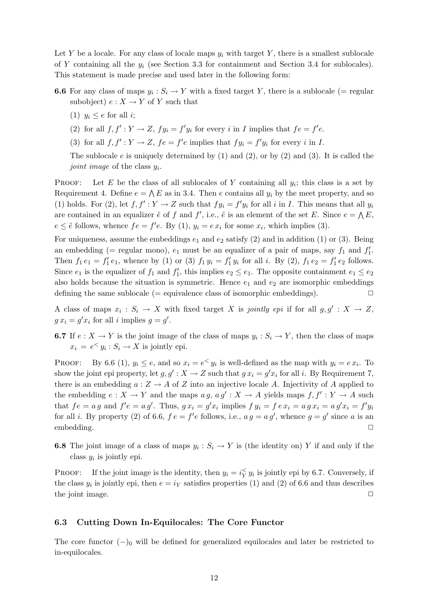Let Y be a locale. For any class of locale maps  $y_i$  with target Y, there is a smallest sublocale of Y containing all the  $y_i$  (see Section 3.3 for containment and Section 3.4 for sublocales). This statement is made precise and used later in the following form:

**6.6** For any class of maps  $y_i : S_i \to Y$  with a fixed target Y, there is a sublocale (= regular subobject)  $e: X \to Y$  of Y such that

(1)  $y_i \leq e$  for all *i*;

(2) for all  $f, f' : Y \to Z$ ,  $f y_i = f' y_i$  for every i in I implies that  $f e = f' e$ .

(3) for all  $f, f' : Y \to Z$ ,  $fe = f'e$  implies that  $fy_i = f'y_i$  for every i in I.

The sublocale  $e$  is uniquely determined by (1) and (2), or by (2) and (3). It is called the joint image of the class  $y_i$ .

PROOF: Let E be the class of all sublocales of Y containing all  $y_i$ ; this class is a set by Requirement 4. Define  $e = \bigwedge E$  as in 3.4. Then e contains all  $y_i$  by the meet property, and so (1) holds. For (2), let  $f, f': Y \to Z$  such that  $f y_i = f' y_i$  for all i in I. This means that all  $y_i$ are contained in an equalizer  $\tilde{e}$  of f and f', i.e.,  $\tilde{e}$  is an element of the set E. Since  $e = \Lambda E$ ,  $e \leq \tilde{e}$  follows, whence  $fe = f'e$ . By (1),  $y_i = e x_i$  for some  $x_i$ , which implies (3).

For uniqueness, assume the embeddings  $e_1$  and  $e_2$  satisfy (2) and in addition (1) or (3). Being an embedding (= regular mono),  $e_1$  must be an equalizer of a pair of maps, say  $f_1$  and  $f'_1$ . Then  $f_1 e_1 = f_1' e_1$ , whence by (1) or (3)  $f_1 y_i = f_1' y_i$  for all i. By (2),  $f_1 e_2 = f_1' e_2$  follows. Since  $e_1$  is the equalizer of  $f_1$  and  $f'_1$ , this implies  $e_2 \leq e_1$ . The opposite containment  $e_1 \leq e_2$ also holds because the situation is symmetric. Hence  $e_1$  and  $e_2$  are isomorphic embeddings defining the same sublocale ( $=$  equivalence class of isomorphic embeddings).  $\square$ 

A class of maps  $x_i : S_i \to X$  with fixed target X is jointly epi if for all  $g, g' : X \to Z$ ,  $g x_i = g' x_i$  for all i implies  $g = g'$ .

**6.7** If  $e: X \to Y$  is the joint image of the class of maps  $y_i: S_i \to Y$ , then the class of maps  $x_i = e^{\lt} y_i : S_i \to X$  is jointly epi.

PROOF: By 6.6 (1),  $y_i \le e$ , and so  $x_i = e^{\lt} y_i$  is well-defined as the map with  $y_i = e x_i$ . To show the joint epi property, let  $g, g': X \to Z$  such that  $g x_i = g' x_i$  for all i. By Requirement 7, there is an embedding  $a: Z \to A$  of Z into an injective locale A. Injectivity of A applied to the embedding  $e: X \to Y$  and the maps  $a g, a g' : X \to A$  yields maps  $f, f' : Y \to A$  such that  $fe = a g$  and  $f'e = a g'$ . Thus,  $gx_i = g'x_i$  implies  $f y_i = f e x_i = a g x_i = a g'x_i = f'y_i$ for all *i*. By property (2) of 6.6,  $fe = f'e$  follows, i.e.,  $ag = ag'$ , whence  $g = g'$  since a is an embedding. □

**6.8** The joint image of a class of maps  $y_i : S_i \to Y$  is (the identity on) Y if and only if the class  $y_i$  is jointly epi.

PROOF: If the joint image is the identity, then  $y_i = i \zeta y_i$  is jointly epi by 6.7. Conversely, if the class  $y_i$  is jointly epi, then  $e = i_Y$  satisfies properties (1) and (2) of 6.6 and thus describes the joint image.  $\Box$ 

#### 6.3 Cutting Down In-Equilocales: The Core Functor

The core functor  $(-)$ <sub>0</sub> will be defined for generalized equilocales and later be restricted to in-equilocales.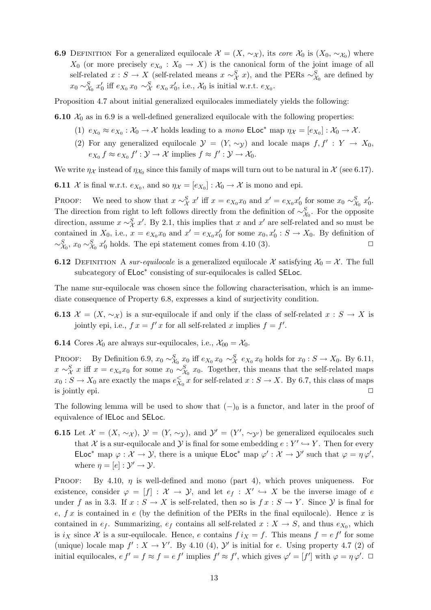**6.9** DEFINITION For a generalized equilocale  $\mathcal{X} = (X, \sim_{\mathcal{X}})$ , its core  $\mathcal{X}_0$  is  $(X_0, \sim_{\mathcal{X}_0})$  where  $X_0$  (or more precisely  $e_{X_0}: X_0 \to X$ ) is the canonical form of the joint image of all self-related  $x : S \to X$  (self-related means  $x \sim_X^S x$ ), and the PERs  $\sim_{\mathcal{X}_0}^S$  are defined by  $x_0 \sim_{\mathcal{X}_0}^S x'_0$  iff  $e_{X_0} x_0 \sim_{\mathcal{X}}^S e_{X_0} x'_0$ , i.e.,  $\mathcal{X}_0$  is initial w.r.t.  $e_{X_0}$ .

Proposition 4.7 about initial generalized equilocales immediately yields the following:

**6.10**  $X_0$  as in 6.9 is a well-defined generalized equilocale with the following properties:

- (1)  $e_{X_0} \approx e_{X_0} : X_0 \to X$  holds leading to a *mono*  $\mathsf{ELoc}^*$  map  $\eta_X = [e_{X_0}] : X_0 \to X$ .
- (2) For any generalized equilocale  $\mathcal{Y} = (Y, \sim_{\mathcal{Y}})$  and locale maps  $f, f' : Y \to X_0$ ,  $e_{X_0} f \approx e_{X_0} f' : \mathcal{Y} \to \mathcal{X}$  implies  $f \approx f' : \mathcal{Y} \to \mathcal{X}_0$ .

We write  $\eta_{\mathcal{X}}$  instead of  $\eta_{\mathcal{X}_0}$  since this family of maps will turn out to be natural in  $\mathcal{X}$  (see 6.17).

**6.11**  $\mathcal{X}$  is final w.r.t.  $e_{X_0}$ , and so  $\eta_{\mathcal{X}} = [e_{X_0}] : \mathcal{X}_0 \to \mathcal{X}$  is mono and epi.

PROOF: We need to show that  $x \sim_X^S x'$  iff  $x = e_{X_0} x_0$  and  $x' = e_{X_0} x'_0$  for some  $x_0 \sim_{X_0}^S x'_0$ . The direction from right to left follows directly from the definition of  $\sim_{\chi_0}^S$ . For the opposite direction, assume  $x \sim_{\mathcal{X}}^S x'$ . By 2.1, this implies that x and  $x'$  are self-related and so must be contained in  $X_0$ , i.e.,  $x = e_{X_0}x_0$  and  $x' = e_{X_0}x'_0$  for some  $x_0, x'_0 : S \to X_0$ . By definition of  $\sim_{\mathcal{X}_0}^S$ ,  $x_0 \sim_{\mathcal{X}_0}^S x'_0$  holds. The epi statement comes from 4.10 (3).

**6.12** DEFINITION A sur-equilocale is a generalized equilocale X satisfying  $\mathcal{X}_0 = \mathcal{X}$ . The full subcategory of  $ELoc^*$  consisting of sur-equilocales is called SELoc.

The name sur-equilocale was chosen since the following characterisation, which is an immediate consequence of Property 6.8, expresses a kind of surjectivity condition.

- **6.13**  $\mathcal{X} = (X, \sim_{\mathcal{X}})$  is a sur-equilocale if and only if the class of self-related  $x : S \to X$  is jointly epi, i.e.,  $f x = f' x$  for all self-related x implies  $f = f'$ .
- **6.14** Cores  $\mathcal{X}_0$  are always sur-equilocales, i.e.,  $\mathcal{X}_{00} = \mathcal{X}_0$ .

PROOF: By Definition 6.9,  $x_0 \sim_{\mathcal{X}_0}^S x_0$  iff  $e_{X_0} x_0 \sim_{\mathcal{X}}^S e_{X_0} x_0$  holds for  $x_0 : S \to X_0$ . By 6.11,  $x \sim_X^S x$  iff  $x = e_{X_0}x_0$  for some  $x_0 \sim_{X_0}^S x_0$ . Together, this means that the self-related maps  $x_0: S \to X_0$  are exactly the maps  $e_{X_0}^{\ltsim} x$  for self-related  $x: S \to X$ . By 6.7, this class of maps is jointly epi.  $\Box$ 

The following lemma will be used to show that  $(-)$ <sub>0</sub> is a functor, and later in the proof of equivalence of IELoc and SELoc.

**6.15** Let  $\mathcal{X} = (X, \sim_{\mathcal{X}}), \mathcal{Y} = (Y, \sim_{\mathcal{Y}}),$  and  $\mathcal{Y}' = (Y', \sim_{\mathcal{Y}'})$  be generalized equilocales such that X is a sur-equilocale and Y is final for some embedding  $e: Y' \hookrightarrow Y$ . Then for every ELoc<sup>\*</sup> map  $\varphi : \mathcal{X} \to \mathcal{Y}$ , there is a unique  $\mathsf{ELoc}^*$  map  $\varphi' : \mathcal{X} \to \mathcal{Y}'$  such that  $\varphi = \eta \varphi'$ , where  $\eta = [e] : \mathcal{Y}' \to \mathcal{Y}$ .

PROOF: By 4.10,  $\eta$  is well-defined and mono (part 4), which proves uniqueness. For existence, consider  $\varphi = [f] : \mathcal{X} \to \mathcal{Y}$ , and let  $e_f : X' \hookrightarrow X$  be the inverse image of e under f as in 3.3. If  $x : S \to X$  is self-related, then so is  $f x : S \to Y$ . Since  $Y$  is final for e,  $f x$  is contained in e (by the definition of the PERs in the final equilocale). Hence x is contained in  $e_f$ . Summarizing,  $e_f$  contains all self-related  $x : X \to S$ , and thus  $e_{X_0}$ , which is  $i_X$  since X is a sur-equilocale. Hence, e contains  $f i_X = f$ . This means  $f = e f'$  for some (unique) locale map  $f': X \to Y'$ . By 4.10 (4),  $\mathcal{Y}'$  is initial for e. Using property 4.7 (2) of initial equilocales,  $e f' = f \approx f = e f'$  implies  $f' \approx f'$ , which gives  $\varphi' = [f']$  with  $\varphi = \eta \varphi'$ .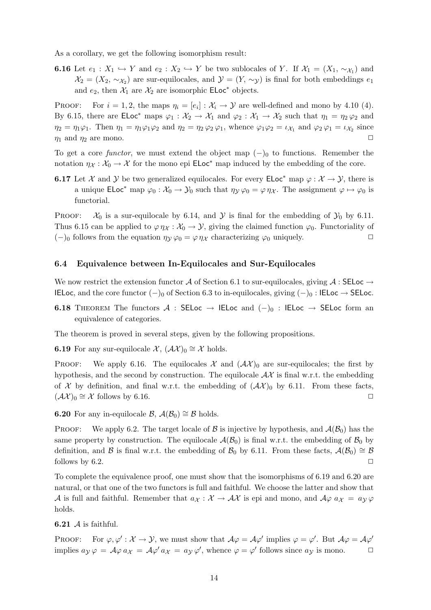As a corollary, we get the following isomorphism result:

**6.16** Let  $e_1: X_1 \hookrightarrow Y$  and  $e_2: X_2 \hookrightarrow Y$  be two sublocales of Y. If  $\mathcal{X}_1 = (X_1, \sim_{\mathcal{X}_1})$  and  $\mathcal{X}_2 = (X_2, \sim_{\mathcal{X}_2})$  are sur-equilocales, and  $\mathcal{Y} = (Y, \sim_{\mathcal{Y}})$  is final for both embeddings  $e_1$ and  $e_2$ , then  $\mathcal{X}_1$  are  $\mathcal{X}_2$  are isomorphic **ELoc**<sup>\*</sup> objects.

PROOF: For  $i = 1, 2$ , the maps  $\eta_i = [e_i] : \mathcal{X}_i \to \mathcal{Y}$  are well-defined and mono by 4.10 (4). By 6.15, there are  $\mathsf{ELoc}^*$  maps  $\varphi_1 : \mathcal{X}_2 \to \mathcal{X}_1$  and  $\varphi_2 : \mathcal{X}_1 \to \mathcal{X}_2$  such that  $\eta_1 = \eta_2 \varphi_2$  and  $\eta_2 = \eta_1 \varphi_1$ . Then  $\eta_1 = \eta_1 \varphi_1 \varphi_2$  and  $\eta_2 = \eta_2 \varphi_2 \varphi_1$ , whence  $\varphi_1 \varphi_2 = \iota_{\mathcal{X}_1}$  and  $\varphi_2 \varphi_1 = \iota_{\mathcal{X}_2}$  since  $\eta_1$  and  $\eta_2$  are mono.

To get a core functor, we must extend the object map  $(-)$ <sub>0</sub> to functions. Remember the notation  $\eta_{\mathcal{X}} : \mathcal{X}_0 \to \mathcal{X}$  for the mono epi **ELoc**<sup>\*</sup> map induced by the embedding of the core.

**6.17** Let X and Y be two generalized equilocales. For every  $\mathsf{ELoc}^*$  map  $\varphi : \mathcal{X} \to \mathcal{Y}$ , there is a unique  $\mathsf{ELoc}^*$  map  $\varphi_0 : \mathcal{X}_0 \to \mathcal{Y}_0$  such that  $\eta_{\mathcal{Y}} \varphi_0 = \varphi \eta_{\mathcal{X}}$ . The assignment  $\varphi \mapsto \varphi_0$  is functorial.

PROOF:  $\mathcal{X}_0$  is a sur-equilocale by 6.14, and  $\mathcal{Y}$  is final for the embedding of  $\mathcal{Y}_0$  by 6.11. Thus 6.15 can be applied to  $\varphi \eta_{\mathcal{X}} : \mathcal{X}_0 \to \mathcal{Y}$ , giving the claimed function  $\varphi_0$ . Functoriality of  $(-)$ <sub>0</sub> follows from the equation  $\eta_y \varphi_0 = \varphi \eta_x$  characterizing  $\varphi_0$  uniquely.

#### 6.4 Equivalence between In-Equilocales and Sur-Equilocales

We now restrict the extension functor A of Section 6.1 to sur-equilocales, giving  $\mathcal{A}$ : SELoc  $\rightarrow$ IELoc, and the core functor  $(-)_0$  of Section 6.3 to in-equilocales, giving  $(-)_0$  : IELoc → SELoc.

6.18 THEOREM The functors A : SELoc  $\rightarrow$  IELoc and  $(-)_{0}$  : IELoc  $\rightarrow$  SELoc form an equivalence of categories.

The theorem is proved in several steps, given by the following propositions.

**6.19** For any sur-equilocale  $\mathcal{X}, (\mathcal{A}\mathcal{X})_0 \cong \mathcal{X}$  holds.

PROOF: We apply 6.16. The equilocales  $\mathcal{X}$  and  $(\mathcal{A}\mathcal{X})_0$  are sur-equilocales; the first by hypothesis, and the second by construction. The equilocale  $\mathcal{AX}$  is final w.r.t. the embedding of X by definition, and final w.r.t. the embedding of  $(\mathcal{A}\mathcal{X})_0$  by 6.11. From these facts,  $(\mathcal{A}\mathcal{X})_0 \cong \mathcal{X}$  follows by 6.16.

6.20 For any in-equilocale B,  $\mathcal{A}(\mathcal{B}_0) \cong \mathcal{B}$  holds.

**PROOF:** We apply 6.2. The target locale of B is injective by hypothesis, and  $\mathcal{A}(\mathcal{B}_0)$  has the same property by construction. The equilocale  $\mathcal{A}(\mathcal{B}_0)$  is final w.r.t. the embedding of  $\mathcal{B}_0$  by definition, and B is final w.r.t. the embedding of  $\mathcal{B}_0$  by 6.11. From these facts,  $\mathcal{A}(\mathcal{B}_0) \cong \mathcal{B}$ follows by 6.2.  $\Box$ 

To complete the equivalence proof, one must show that the isomorphisms of 6.19 and 6.20 are natural, or that one of the two functors is full and faithful. We choose the latter and show that A is full and faithful. Remember that  $a_X : \mathcal{X} \to \mathcal{AX}$  is epi and mono, and  $\mathcal{A}\varphi$   $a_X = a_Y \varphi$ holds.

**6.21**  $\mathcal A$  is faithful.

PROOF: For  $\varphi, \varphi' : \mathcal{X} \to \mathcal{Y}$ , we must show that  $\mathcal{A}\varphi = \mathcal{A}\varphi'$  implies  $\varphi = \varphi'$ . But  $\mathcal{A}\varphi = \mathcal{A}\varphi'$ implies  $a_{\mathcal{Y}} \varphi = \mathcal{A} \varphi \, a_{\mathcal{X}} = \mathcal{A} \varphi' \, a_{\mathcal{X}} = a_{\mathcal{Y}} \varphi'$ , whence  $\varphi = \varphi'$  follows since  $a_{\mathcal{Y}}$  is mono.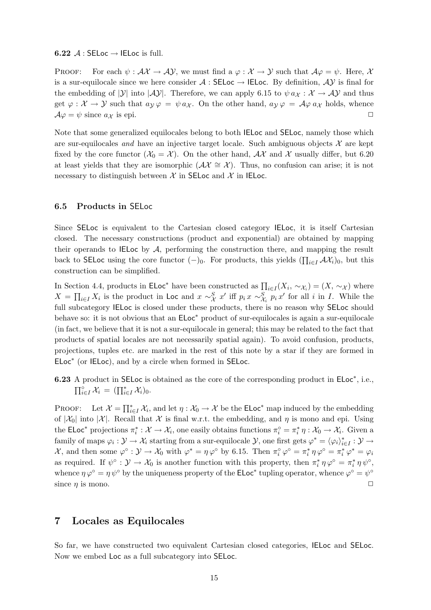#### 6.22  $\mathcal{A}:$  SELoc  $\rightarrow$  IELoc is full.

PROOF: For each  $\psi : \mathcal{AX} \to \mathcal{AY}$ , we must find a  $\varphi : \mathcal{X} \to \mathcal{Y}$  such that  $\mathcal{A}\varphi = \psi$ . Here, X is a sur-equilocale since we here consider  $A : \mathsf{SELoc} \to \mathsf{IELoc}$ . By definition,  $AY$  is final for the embedding of  $|\mathcal{Y}|$  into  $|\mathcal{AY}|$ . Therefore, we can apply 6.15 to  $\psi a_{\mathcal{X}} : \mathcal{X} \to \mathcal{AY}$  and thus get  $\varphi : \mathcal{X} \to \mathcal{Y}$  such that  $a_{\mathcal{Y}} \varphi = \psi a_{\mathcal{X}}$ . On the other hand,  $a_{\mathcal{Y}} \varphi = \mathcal{A} \varphi a_{\mathcal{X}}$  holds, whence  $A\varphi = \psi$  since  $a\chi$  is epi.

Note that some generalized equilocales belong to both IELoc and SELoc, namely those which are sur-equilocales and have an injective target locale. Such ambiguous objects  $\mathcal X$  are kept fixed by the core functor  $(\mathcal{X}_0 = \mathcal{X})$ . On the other hand,  $\mathcal{A}\mathcal{X}$  and X usually differ, but 6.20 at least yields that they are isomorphic  $(\mathcal{A}\mathcal{X}\cong\mathcal{X})$ . Thus, no confusion can arise; it is not necessary to distinguish between  $\mathcal X$  in SELoc and  $\mathcal X$  in IELoc.

#### 6.5 Products in SELoc

Since SELoc is equivalent to the Cartesian closed category IELoc, it is itself Cartesian closed. The necessary constructions (product and exponential) are obtained by mapping their operands to IELoc by  $A$ , performing the construction there, and mapping the result back to SELoc using the core functor  $(-)_0$ . For products, this yields  $(\prod_{i\in I} A\mathcal{X}_i)_0$ , but this construction can be simplified.

In Section 4.4, products in ELoc<sup>\*</sup> have been constructed as  $\prod_{i\in I}(X_i, \sim_{\mathcal{X}_i}) = (X, \sim_{\mathcal{X}})$  where  $X = \prod_{i \in I} X_i$  is the product in Loc and  $x \sim_X^S x'$  iff  $p_i x \sim_{X_i}^S p_i x'$  for all i in I. While the full subcategory IELoc is closed under these products, there is no reason why SELoc should behave so: it is not obvious that an ELoc<sup>∗</sup> product of sur-equilocales is again a sur-equilocale (in fact, we believe that it is not a sur-equilocale in general; this may be related to the fact that products of spatial locales are not necessarily spatial again). To avoid confusion, products, projections, tuples etc. are marked in the rest of this note by a star if they are formed in ELoc<sup>∗</sup> (or IELoc), and by a circle when formed in SELoc.

6.23 A product in SELoc is obtained as the core of the corresponding product in ELoc<sup>\*</sup>, i.e.,  $\prod_{i\in I}^{\circ} \mathcal{X}_i = (\prod_{i\in I}^{\ast} \mathcal{X}_i)_0.$ 

PROOF: Let  $\mathcal{X} = \prod_{i \in I}^* \mathcal{X}_i$ , and let  $\eta : \mathcal{X}_0 \to \mathcal{X}$  be the **ELoc**<sup>\*</sup> map induced by the embedding of  $|\mathcal{X}_0|$  into  $|\mathcal{X}|$ . Recall that X is final w.r.t. the embedding, and  $\eta$  is mono and epi. Using the ELoc<sup>\*</sup> projections  $\pi_i^*: \mathcal{X} \to \mathcal{X}_i$ , one easily obtains functions  $\pi_i^{\circ} = \pi_i^* \eta : \mathcal{X}_0 \to \mathcal{X}_i$ . Given a family of maps  $\varphi_i : \mathcal{Y} \to \mathcal{X}_i$  starting from a sur-equilocale  $\mathcal{Y}$ , one first gets  $\varphi^* = \langle \varphi_i \rangle_{i \in I}^* : \mathcal{Y} \to$  $\mathcal{X}$ , and then some  $\varphi^{\circ} : \mathcal{Y} \to \mathcal{X}_0$  with  $\varphi^* = \eta \varphi^{\circ}$  by 6.15. Then  $\pi_i^{\circ} \varphi^{\circ} = \pi_i^* \eta \varphi^{\circ} = \pi_i^* \varphi^* = \varphi_i$ as required. If  $\psi^{\circ} : \mathcal{Y} \to \mathcal{X}_0$  is another function with this property, then  $\pi_i^* \eta \varphi^{\circ} = \pi_i^* \eta \psi^{\circ}$ , whence  $\eta \varphi^{\circ} = \eta \psi^{\circ}$  by the uniqueness property of the **ELoc**<sup>\*</sup> tupling operator, whence  $\varphi^{\circ} = \psi^{\circ}$ since  $\eta$  is mono.  $\Box$ 

# 7 Locales as Equilocales

So far, we have constructed two equivalent Cartesian closed categories, IELoc and SELoc. Now we embed Loc as a full subcategory into SELoc.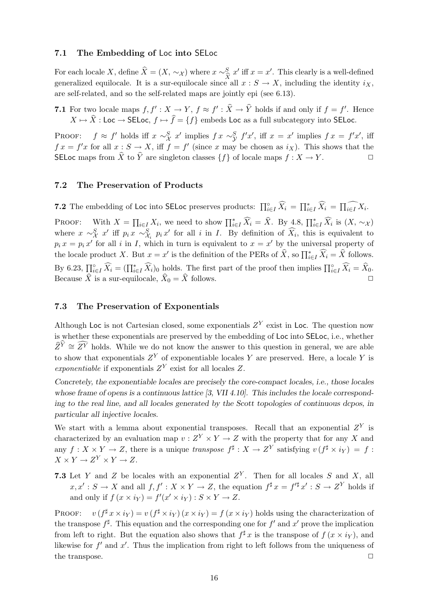#### 7.1 The Embedding of Loc into SELoc

For each locale X, define  $\hat{X} = (X, \sim_{\mathcal{X}})$  where  $x \sim_{\hat{X}}^S x'$  iff  $x = x'$ . This clearly is a well-defined generalized equilocale. It is a sur-equilocale since all  $x : S \to X$ , including the identity  $i_X$ , are self-related, and so the self-related maps are jointly epi (see 6.13).

7.1 For two locale maps  $f, f' : X \to Y, f \approx f' : \hat{X} \to \hat{Y}$  holds if and only if  $f = f'$ . Hence  $X \mapsto \hat{X}$ : Loc  $\to$  SELoc,  $f \mapsto \hat{f} = \{f\}$  embeds Loc as a full subcategory into SELoc.

PROOF:  $f \approx f'$  holds iff  $x \sim_X^S x'$  implies  $f x \sim_Y^S f' x'$ , iff  $x = x'$  implies  $f x = f' x'$ , iff  $f x = f' x$  for all  $x : S \to X$ , iff  $f = f'$  (since x may be chosen as  $i_X$ ). This shows that the SELoc maps from  $\widehat{X}$  to  $\widehat{Y}$  are singleton classes  $\{f\}$  of locale maps  $f : X \to Y$ .

#### 7.2 The Preservation of Products

**7.2** The embedding of Loc into SELoc preserves products:  $\prod_{i\in I}^{\circ} \widehat{X}_i = \prod_{i\in I}^{\ast} \widehat{X}_i = \prod_{i\in I} X_i$ .

PROOF: With  $X = \prod_{i \in I} X_i$ , we need to show  $\prod_{i \in I}^* \widehat{X}_i = \widehat{X}$ . By 4.8,  $\prod_{i \in I}^* \widehat{X}_i$  is  $(X, \sim_{\mathcal{X}})$ where  $x \sim_{\mathcal{X}}^S x'$  iff  $p_i x \sim_{\mathcal{X}_i}^S p_i x'$  for all i in I. By definition of  $\widehat{X}_i$ , this is equivalent to  $p_i x = p_i x'$  for all i in I, which in turn is equivalent to  $x = x'$  by the universal property of the locale product X. But  $x = x'$  is the definition of the PERs of  $\hat{X}$ , so  $\prod_{i \in I}^* \hat{X}_i = \hat{X}$  follows. By 6.23,  $\prod_{i\in I}^{\infty} \widehat{X}_i = (\prod_{i\in I}^{\ast} \widehat{X}_i)_0$  holds. The first part of the proof then implies  $\prod_{i\in I}^{\infty} \widehat{X}_i = \widehat{X}_0$ . Because X is a sur-equilocale,  $X_0 = X$  follows.  $\square$ 

#### 7.3 The Preservation of Exponentials

Although Loc is not Cartesian closed, some exponentials  $Z<sup>Y</sup>$  exist in Loc. The question now is whether these exponentials are preserved by the embedding of Loc into SELoc, i.e., whether  $\widehat{Z}^{\widehat{Y}} \cong \widehat{Z}^Y$  holds. While we do not know the answer to this question in general, we are able to show that exponentials  $Z<sup>Y</sup>$  of exponentiable locales Y are preserved. Here, a locale Y is exponentiable if exponentials  $Z<sup>Y</sup>$  exist for all locales Z.

Concretely, the exponentiable locales are precisely the core-compact locales, i.e., those locales whose frame of opens is a continuous lattice [3, VII 4.10]. This includes the locale corresponding to the real line, and all locales generated by the Scott topologies of continuous dcpos, in particular all injective locales.

We start with a lemma about exponential transposes. Recall that an exponential  $Z<sup>Y</sup>$  is characterized by an evaluation map  $v: Z^Y \times Y \to Z$  with the property that for any X and any  $f: X \times Y \to Z$ , there is a unique transpose  $f^{\sharp}: X \to Z^Y$  satisfying  $v(f^{\sharp} \times i_Y) = f$ :  $X \times Y \to Z^Y \times Y \to Z.$ 

**7.3** Let Y and Z be locales with an exponential  $Z<sup>Y</sup>$ . Then for all locales S and X, all  $x, x' : S \to X$  and all  $f, f' : X \times Y \to Z$ , the equation  $f^{\sharp} x = f'^{\sharp} x' : S \to Z^Y$  holds if and only if  $f(x \times i_Y) = f'(x' \times i_Y) : S \times Y \to Z$ .

PROOF:  ${}^{\sharp}x \times i_Y$  =  $v(f^{\sharp} \times i_Y)(x \times i_Y) = f(x \times i_Y)$  holds using the characterization of the transpose  $f^{\sharp}$ . This equation and the corresponding one for  $f'$  and  $x'$  prove the implication from left to right. But the equation also shows that  $f^{\sharp}x$  is the transpose of  $f(x \times iy)$ , and likewise for  $f'$  and  $x'$ . Thus the implication from right to left follows from the uniqueness of the transpose.  $\Box$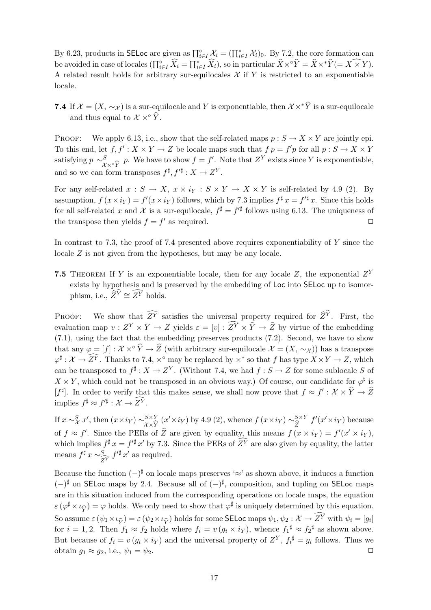By 6.23, products in SELoc are given as  $\prod_{i\in I}^{\circ} \mathcal{X}_i = (\prod_{i\in I}^* \mathcal{X}_i)_0$ . By 7.2, the core formation can be avoided in case of locales  $(\prod_{i\in I}^{\circ} \widehat{X}_i = \prod_{i\in I}^{\ast} \widehat{X}_i)$ , so in particular  $\widehat{X}\times^{\circ} \widehat{Y} = \widehat{X}\times^{\ast} \widehat{Y} (= X \times Y)$ . A related result holds for arbitrary sur-equilocales  $X$  if Y is restricted to an exponentiable locale.

7.4 If  $\mathcal{X} = (X, \sim_{\mathcal{X}})$  is a sur-equilocale and Y is exponentiable, then  $\mathcal{X} \times^* \hat{Y}$  is a sur-equilocale and thus equal to  $\mathcal{X} \times \hat{Y}$ .

PROOF: We apply 6.13, i.e., show that the self-related maps  $p : S \to X \times Y$  are jointly epi. To this end, let  $f, f' : X \times Y \to Z$  be locale maps such that  $f p = f' p$  for all  $p : S \to X \times Y$ satisfying  $p \sim_{\text{max}}^S p$ . We have to show  $f = f'$ . Note that  $Z^Y$  exists since Y is exponentiable, and so we can form transposes  $f^{\sharp}, f'^{\sharp}: X \to Z^Y$ .

For any self-related  $x : S \to X$ ,  $x \times i_Y : S \times Y \to X \times Y$  is self-related by 4.9 (2). By assumption,  $f(x \times iy) = f'(x \times iy)$  follows, which by 7.3 implies  $f^{\sharp} x = f'^{\sharp} x$ . Since this holds for all self-related x and X is a sur-equilocale,  $f^{\sharp} = f'^{\sharp}$  follows using 6.13. The uniqueness of the transpose then yields  $f = f'$  as required.

In contrast to 7.3, the proof of 7.4 presented above requires exponentiability of  $Y$  since the locale Z is not given from the hypotheses, but may be any locale.

**7.5** THEOREM If Y is an exponentiable locale, then for any locale Z, the exponential  $Z<sup>Y</sup>$ exists by hypothesis and is preserved by the embedding of Loc into SELoc up to isomorphism, i.e.,  $\widehat{Z}^{\widehat{Y}} \cong \widehat{Z}^Y$  holds.

PROOF: We show that  $Z^{\overline{Y}}$  satisfies the universal property required for  $\widehat{Z}^Y$ . First, the evaluation map  $v: Z^Y \times Y \to Z$  yields  $\varepsilon = [v]: Z^Y \times \hat{Y} \to \hat{Z}$  by virtue of the embedding (7.1), using the fact that the embedding preserves products (7.2). Second, we have to show that any  $\varphi = [f] : \mathcal{X} \times \hat{Y} \to \hat{Z}$  (with arbitrary sur-equilocale  $\mathcal{X} = (X, \sim_{\mathcal{X}})$ ) has a transpose  $\varphi^{\sharp}: \mathcal{X} \to \overline{Z}^Y$ . Thanks to 7.4,  $\times^{\circ}$  may be replaced by  $\times^*$  so that f has type  $X \times Y \to Z$ , which can be transposed to  $f^{\sharp}: X \to Z^{Y}$ . (Without 7.4, we had  $f: S \to Z$  for some sublocale S of  $X \times Y$ , which could not be transposed in an obvious way.) Of course, our candidate for  $\varphi^{\sharp}$  is  $[f^{\sharp}]$ . In order to verify that this makes sense, we shall now prove that  $f \approx f' : \mathcal{X} \times \hat{Y} \to \hat{Z}$ implies  $f^{\sharp} \approx f'^{\sharp} : \mathcal{X} \to \overline{\mathcal{Z}}^{\overline{Y}}$ .

If  $x \sim_X^S x'$ , then  $(x \times iy) \sim_{X \times \widehat{Y}}^{S \times Y} (x' \times iy)$  by 4.9 (2), whence  $f(x \times iy) \sim_{\widehat{Z}}^{S \times Y} f'(x' \times iy)$  because of  $f \approx f'$ . Since the PERs of  $\hat{Z}$  are given by equality, this means  $f(x \times iy) = f'(x' \times iy)$ , which implies  $f^{\sharp} x = f'^{\sharp} x'$  by 7.3. Since the PERs of  $Z^Y$  are also given by equality, the latter means  $f^{\sharp} x \sim \frac{S}{2}$  $Z^Y$  $f'^{\sharp} x'$  as required.

Because the function  $(-)^{\sharp}$  on locale maps preserves '≈' as shown above, it induces a function  $(-)$ <sup>‡</sup> on SELoc maps by 2.4. Because all of  $(-)$ <sup>‡</sup>, composition, and tupling on SELoc maps are in this situation induced from the corresponding operations on locale maps, the equation  $\varepsilon$  ( $\varphi^{\sharp} \times \iota_{\widehat{V}} = \varphi$  holds. We only need to show that  $\varphi^{\sharp}$  is uniquely determined by this equation. So assume  $\varepsilon$  ( $\psi_1 \times \iota_{\widehat{Y}}$ ) =  $\varepsilon$  ( $\psi_2 \times \iota_{\widehat{Y}}$ ) holds for some **SELoc** maps  $\psi_1, \psi_2 : \mathcal{X} \to \widehat{Z}^Y$  with  $\psi_i = [g_i]$ for  $i = 1, 2$ . Then  $f_1 \approx f_2$  holds where  $f_i = v(g_i \times iy)$ , whence  $f_1^{\sharp} \approx f_2^{\sharp}$  as shown above. But because of  $f_i = v(g_i \times i_Y)$  and the universal property of  $Z^Y$ ,  $f_i^{\sharp} = g_i$  follows. Thus we obtain  $g_1 \approx g_2$ , i.e.,  $\psi_1 = \psi_2$ .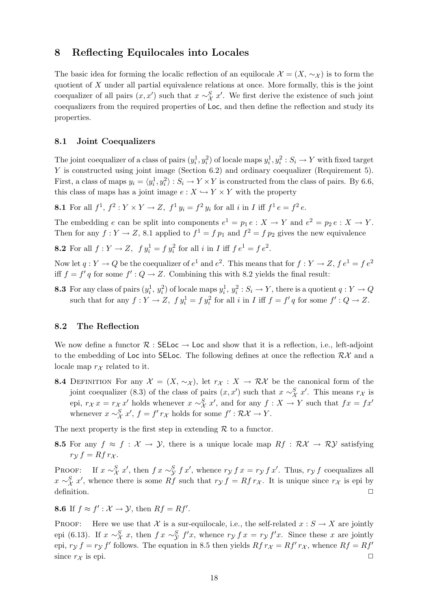# 8 Reflecting Equilocales into Locales

The basic idea for forming the localic reflection of an equilocale  $\mathcal{X} = (X, \sim_{\mathcal{X}})$  is to form the quotient of  $X$  under all partial equivalence relations at once. More formally, this is the joint coequalizer of all pairs  $(x, x')$  such that  $x \sim_X^S x'$ . We first derive the existence of such joint coequalizers from the required properties of Loc, and then define the reflection and study its properties.

#### 8.1 Joint Coequalizers

The joint coequalizer of a class of pairs  $(y_i^1, y_i^2)$  of locale maps  $y_i^1, y_i^2 : S_i \to Y$  with fixed target Y is constructed using joint image (Section 6.2) and ordinary coequalizer (Requirement 5). First, a class of maps  $y_i = \langle y_i^1, y_i^2 \rangle : S_i \to Y \times Y$  is constructed from the class of pairs. By 6.6, this class of maps has a joint image  $e : X \hookrightarrow Y \times Y$  with the property

**8.1** For all  $f^1, f^2: Y \times Y \to Z$ ,  $f^1 y_i = f^2 y_i$  for all i in I iff  $f^1 e = f^2 e$ .

The embedding e can be split into components  $e^1 = p_1 e : X \to Y$  and  $e^2 = p_2 e : X \to Y$ . Then for any  $f: Y \to Z$ , 8.1 applied to  $f^1 = f p_1$  and  $f^2 = f p_2$  gives the new equivalence

**8.2** For all  $f: Y \to Z$ ,  $f y_i^1 = f y_i^2$  for all i in I iff  $f e^1 = f e^2$ .

Now let  $q: Y \to Q$  be the coequalizer of  $e^1$  and  $e^2$ . This means that for  $f: Y \to Z$ ,  $f e^1 = f e^2$ iff  $f = f' q$  for some  $f' : Q \to Z$ . Combining this with 8.2 yields the final result:

**8.3** For any class of pairs  $(y_i^1, y_i^2)$  of locale maps  $y_i^1, y_i^2 : S_i \to Y$ , there is a quotient  $q : Y \to Q$ such that for any  $f: Y \to Z$ ,  $f y_i^1 = f y_i^2$  for all i in I iff  $f = f' q$  for some  $f' : Q \to Z$ .

#### 8.2 The Reflection

We now define a functor  $\mathcal R$ : SELoc  $\rightarrow$  Loc and show that it is a reflection, i.e., left-adjoint to the embedding of Loc into SELoc. The following defines at once the reflection  $\mathcal{RK}$  and a locale map  $r_{\mathcal{X}}$  related to it.

8.4 DEFINITION For any  $\mathcal{X} = (X, \sim_{\mathcal{X}}),$  let  $r_{\mathcal{X}} : X \to \mathcal{R} \mathcal{X}$  be the canonical form of the joint coequalizer (8.3) of the class of pairs  $(x, x')$  such that  $x \sim_X^S x'$ . This means  $r_X$  is epi,  $r_X x = r_X x'$  holds whenever  $x \sim_X^S x'$ , and for any  $f : X \to Y$  such that  $fx = fx'$ whenever  $x \sim_{\mathcal{X}}^S x'$ ,  $f = f' r_{\mathcal{X}}$  holds for some  $f' : \mathcal{R} \mathcal{X} \to Y$ .

The next property is the first step in extending  $R$  to a functor.

**8.5** For any  $f \approx f : \mathcal{X} \to \mathcal{Y}$ , there is a unique locale map  $Rf : \mathcal{RX} \to \mathcal{RY}$  satisfying  $r_{\mathcal{V}} f = R f r_{\mathcal{X}}.$ 

PROOF: If  $x \sim_X^S x'$ , then  $f x \sim_Y^S f x'$ , whence  $r_Y f x = r_Y f x'$ . Thus,  $r_Y f$  coequalizes all  $x \sim_{\mathcal{X}}^S x'$ , whence there is some Rf such that  $r_{\mathcal{Y}} f = R f r_{\mathcal{X}}$ . It is unique since  $r_{\mathcal{X}}$  is epi by  $\Box$   $\Box$ 

**8.6** If  $f \approx f' : \mathcal{X} \to \mathcal{Y}$ , then  $Rf = Rf'$ .

PROOF: Here we use that X is a sur-equilocale, i.e., the self-related  $x : S \to X$  are jointly epi (6.13). If  $x \sim_X^S x$ , then  $f x \sim_Y^S f' x$ , whence  $r_Y f x = r_Y f' x$ . Since these x are jointly epi,  $r_y f = r_y f'$  follows. The equation in 8.5 then yields  $Rf r_x = Rf' r_x$ , whence  $Rf = Rf'$ since  $r_{\mathcal{X}}$  is epi.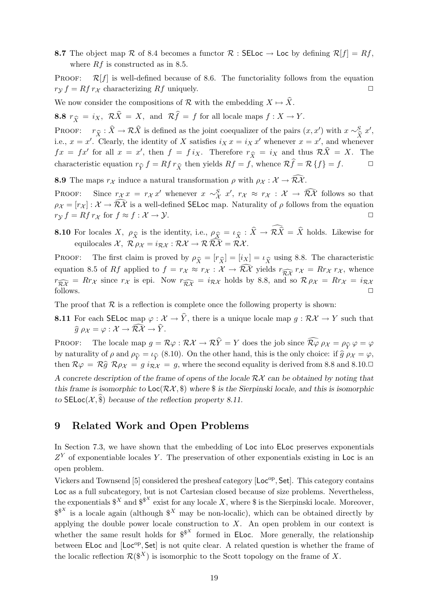8.7 The object map R of 8.4 becomes a functor R : SELoc  $\rightarrow$  Loc by defining  $\mathcal{R}[f] = Rf$ , where  $Rf$  is constructed as in 8.5.

PROOF:  $\mathcal{R}[f]$  is well-defined because of 8.6. The functoriality follows from the equation  $r_{\mathcal{V}} f = R f r_{\mathcal{X}}$  characterizing  $Rf$  uniquely.

We now consider the compositions of R with the embedding  $X \mapsto \hat{X}$ .

8.8  $r_{\widehat{Y}} = i_X$ ,  $\mathcal{R}\widehat{X} = X$ , and  $\mathcal{R}\widehat{f} = f$  for all locale maps  $f : X \to Y$ .

PROOF:  $r_{\hat{X}} : \hat{X} \to \mathcal{R}\hat{X}$  is defined as the joint coequalizer of the pairs  $(x, x')$  with  $x \sim_{\hat{X}}^S x'$ ,<br>i.e.  $x = x'$ . Clearly, the identity of X satisfies  $ix x = i_X x'$  whenever  $x = x'$  and whenever i.e.,  $x = x'$ . Clearly, the identity of X satisfies  $i_X x = i_X x'$  whenever  $x = x'$ , and whenever  $fx = fx'$  for all  $x = x'$ , then  $f = f i_X$ . Therefore  $r_{\hat{X}} = i_X$  and thus  $\mathcal{R}\hat{X} = X$ . The characteristic equation  $r_{\hat{Y}} f = R f r_{\hat{X}}$  then yields  $R f = f$ , whence  $\mathcal{R} f = \mathcal{R} \{f\} = f$ .  $\Box$ 

**8.9** The maps  $r_X$  induce a natural transformation  $\rho$  with  $\rho_X : \mathcal{X} \to \widehat{\mathcal{RX}}$ .

PROOF: Since  $r_{\mathcal{X}} x = r_{\mathcal{X}} x'$  whenever  $x \sim_{\mathcal{X}}^S x'$ ,  $r_{\mathcal{X}} \approx r_{\mathcal{X}} : \mathcal{X} \to \widehat{\mathcal{R}X}$  follows so that  $\rho_{\mathcal{X}} = [r_{\mathcal{X}}]: \mathcal{X} \to \widehat{\mathcal{RX}}$  is a well-defined SELoc map. Naturality of  $\rho$  follows from the equation  $r_{\mathcal{Y}} f = R f r_{\mathcal{X}}$  for  $f \approx f : \mathcal{X} \to \mathcal{Y}$ .

**8.10** For locales X,  $\rho_{\widehat{X}}$  is the identity, i.e.,  $\rho_{\widehat{X}} = \iota_{\widehat{X}} : X \to \mathcal{R}X = X$  holds. Likewise for equilogolog  $\mathcal{Y}, \mathcal{P}_{\widehat{X}} \circ \iota = \iota_{\widehat{X}} : \mathcal{P} \mathcal{P} \to \mathcal{P} \mathcal{P}$ equilocales  $\mathcal{X}, \ \mathcal{R} \rho_{\mathcal{X}} = i_{\mathcal{R}\mathcal{X}} : \mathcal{R}\mathcal{X} \rightarrow \mathcal{R}\widehat{\mathcal{R}\mathcal{X}} = \mathcal{R}\mathcal{X}.$ 

PROOF: The first claim is proved by  $\rho_{\widehat{X}} = [r_{\widehat{X}}] = [i_X] = \iota_{\widehat{X}}$  using 8.8. The characteristic<br>countion 8.5 of *Pf* applied to  $f = r_{\widehat{X}} \approx r_{\widehat{X}} + \widehat{X} \widehat{Y}$  rights  $r_{\widehat{X}} = R_{\widehat{X}} + R_{\widehat{X}}$  whence equation 8.5 of Rf applied to  $f = r_{\mathcal{X}} \approx r_{\mathcal{X}} : \mathcal{X} \to \widehat{\mathcal{RX}}$  yields  $r_{\widehat{\mathcal{RX}}} r_{\mathcal{X}} = R r_{\mathcal{X}} r_{\mathcal{X}}$ , whence  $r_{\widehat{R\mathcal{X}}} = Rr_{\mathcal{X}}$  since  $r_{\mathcal{X}}$  is epi. Now  $r_{\widehat{R\mathcal{X}}} = i_{\mathcal{R}\mathcal{X}}$  holds by 8.8, and so  $\mathcal{R} \rho_{\mathcal{X}} = Rr_{\mathcal{X}} = i_{\mathcal{R}\mathcal{X}}$  follows.  $\Box$  follows.  $\Box$ 

The proof that  $R$  is a reflection is complete once the following property is shown:

8.11 For each SELoc map  $\varphi : \mathcal{X} \to \hat{Y}$ , there is a unique locale map  $g : \mathcal{RX} \to Y$  such that  $\widehat{g} \rho_{\mathcal{X}} = \varphi : \mathcal{X} \to \widehat{\mathcal{R}\mathcal{X}} \to \widehat{Y}$ .

PROOF: The locale map  $g = \mathcal{R}\varphi : \mathcal{R}\mathcal{X} \to \mathcal{R}\hat{Y} = Y$  does the job since  $\widehat{\mathcal{R}\varphi} \rho_{\mathcal{X}} = \rho_{\widehat{Y}} \varphi = \varphi$ <br>by naturality of  $g$  and  $g_{\widehat{Y}} = f_{\widehat{Y}}(8, 10)$ . On the other hand, this is the only choice: if by naturality of  $\rho$  and  $\rho_{\widehat{Y}} = \iota_{\widehat{Y}}(8.10)$ . On the other hand, this is the only choice: if  $\widehat{g} \rho_{\mathcal{X}} = \varphi$ , then  $\mathcal{R} \rho_{\mathcal{X}} = \mathcal{R} \widehat{g} \mathcal{R} \rho_{\mathcal{X}} = g \rho_{\mathcal{X}}$  where the second equality is deri then  $\mathcal{R}\varphi = \mathcal{R}\hat{g} \mathcal{R}\rho_{\mathcal{X}} = g i_{\mathcal{R}\mathcal{X}} = g$ , where the second equality is derived from 8.8 and 8.10. A concrete description of the frame of opens of the locale  $\mathcal{R}\mathcal{X}$  can be obtained by noting that this frame is isomorphic to  $Loc(RX, \$)$  where  $\$$  is the Sierpinski locale, and this is isomorphic to  $\text{SELoc}(\mathcal{X}, \$)$  because of the reflection property 8.11.

# 9 Related Work and Open Problems

In Section 7.3, we have shown that the embedding of Loc into ELoc preserves exponentials  $Z<sup>Y</sup>$  of exponentiable locales Y. The preservation of other exponentials existing in Loc is an open problem.

Vickers and Townsend [5] considered the presheaf category [Loc<sup>op</sup>, Set]. This category contains Loc as a full subcategory, but is not Cartesian closed because of size problems. Nevertheless, the exponentials  $\mathcal{F}^X$  and  $\mathcal{F}^X$  exist for any locale X, where  $\mathcal{F}$  is the Sierpinski locale. Moreover,  $\mathbb{S}^{N}$  is a locale again (although  $\mathbb{S}^{X}$  may be non-localic), which can be obtained directly by applying the double power locale construction to  $X$ . An open problem in our context is whether the same result holds for  $\mathcal{S}^{X}$  formed in ELoc. More generally, the relationship between ELoc and [Loc<sup>op</sup>, Set] is not quite clear. A related question is whether the frame of the localic reflection  $\mathcal{R}(\mathcal{F}^X)$  is isomorphic to the Scott topology on the frame of X.